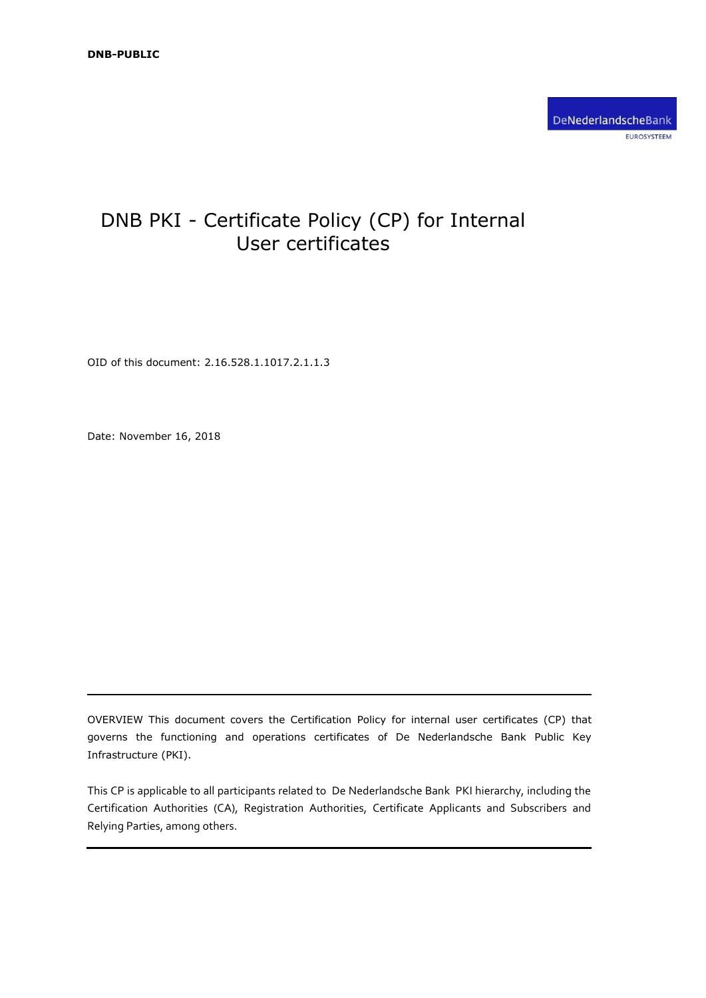# DNB PKI - Certificate Policy (CP) for Internal User certificates

OID of this document: 2.16.528.1.1017.2.1.1.3

Date: November 16, 2018

OVERVIEW This document covers the Certification Policy for internal user certificates (CP) that governs the functioning and operations certificates of De Nederlandsche Bank Public Key Infrastructure (PKI).

This CP is applicable to all participants related to De Nederlandsche Bank PKI hierarchy, including the Certification Authorities (CA), Registration Authorities, Certificate Applicants and Subscribers and Relying Parties, among others.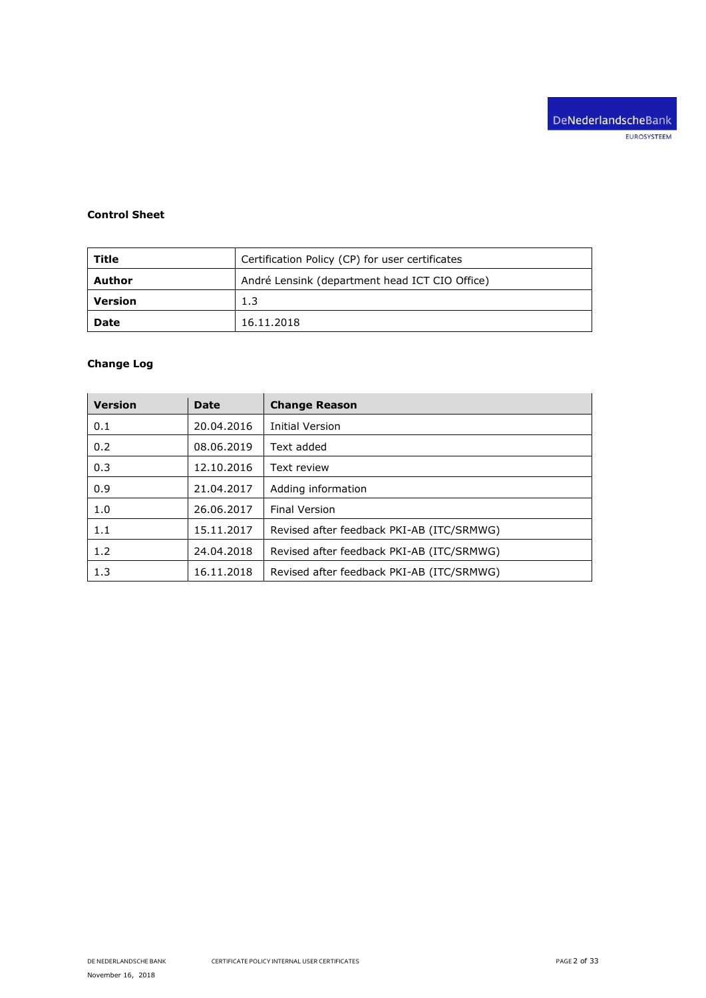# **Control Sheet**

| Title                                                    | Certification Policy (CP) for user certificates |  |
|----------------------------------------------------------|-------------------------------------------------|--|
| André Lensink (department head ICT CIO Office)<br>Author |                                                 |  |
| <b>Version</b>                                           | 1.3                                             |  |
| <b>Date</b>                                              | 16.11.2018                                      |  |

# **Change Log**

| <b>Version</b> | <b>Date</b> | <b>Change Reason</b>                      |
|----------------|-------------|-------------------------------------------|
| 0.1            | 20.04.2016  | Initial Version                           |
| 0.2            | 08.06.2019  | Text added                                |
| 0.3            | 12.10.2016  | Text review                               |
| 0.9            | 21.04.2017  | Adding information                        |
| 1.0            | 26.06.2017  | <b>Final Version</b>                      |
| 1.1            | 15.11.2017  | Revised after feedback PKI-AB (ITC/SRMWG) |
| 1.2            | 24.04.2018  | Revised after feedback PKI-AB (ITC/SRMWG) |
| 1.3            | 16.11.2018  | Revised after feedback PKI-AB (ITC/SRMWG) |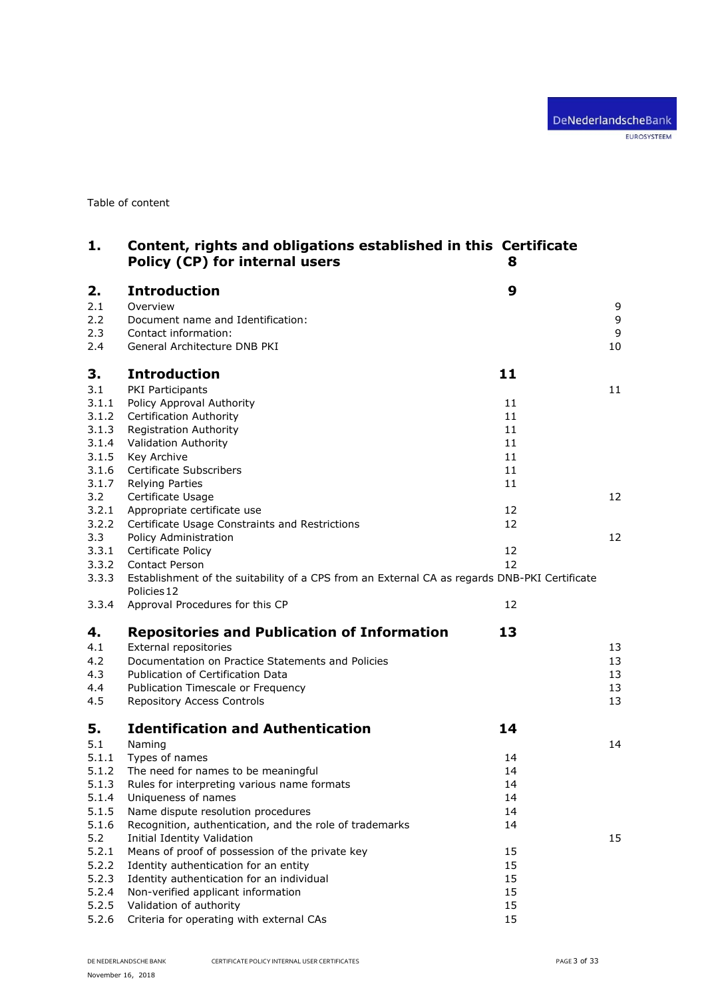Table of content

| 1.    | Content, rights and obligations established in this Certificate<br>Policy (CP) for internal users | 8  |    |
|-------|---------------------------------------------------------------------------------------------------|----|----|
| 2.    | <b>Introduction</b>                                                                               | 9  |    |
| 2.1   | Overview                                                                                          |    | 9  |
| 2.2   | Document name and Identification:                                                                 |    | 9  |
| 2.3   | Contact information:                                                                              |    | 9  |
| 2.4   | General Architecture DNB PKI                                                                      |    | 10 |
| З.    | <b>Introduction</b>                                                                               | 11 |    |
| 3.1   | <b>PKI Participants</b>                                                                           |    | 11 |
| 3.1.1 | Policy Approval Authority                                                                         | 11 |    |
| 3.1.2 | <b>Certification Authority</b>                                                                    | 11 |    |
| 3.1.3 | <b>Registration Authority</b>                                                                     | 11 |    |
| 3.1.4 | <b>Validation Authority</b>                                                                       | 11 |    |
| 3.1.5 | Key Archive                                                                                       | 11 |    |
| 3.1.6 | Certificate Subscribers                                                                           | 11 |    |
| 3.1.7 | <b>Relying Parties</b>                                                                            | 11 |    |
| 3.2   | Certificate Usage                                                                                 |    | 12 |
| 3.2.1 | Appropriate certificate use                                                                       | 12 |    |
| 3.2.2 | Certificate Usage Constraints and Restrictions                                                    | 12 |    |
| 3.3   | Policy Administration                                                                             |    | 12 |
| 3.3.1 | Certificate Policy                                                                                | 12 |    |
| 3.3.2 | <b>Contact Person</b>                                                                             | 12 |    |
| 3.3.3 | Establishment of the suitability of a CPS from an External CA as regards DNB-PKI Certificate      |    |    |
|       | Policies 12                                                                                       |    |    |
| 3.3.4 | Approval Procedures for this CP                                                                   | 12 |    |
| 4.    | <b>Repositories and Publication of Information</b>                                                | 13 |    |
| 4.1   | External repositories                                                                             |    | 13 |
| 4.2   | Documentation on Practice Statements and Policies                                                 |    | 13 |
| 4.3   | Publication of Certification Data                                                                 |    | 13 |
| 4.4   | Publication Timescale or Frequency                                                                |    | 13 |
| 4.5   | Repository Access Controls                                                                        |    | 13 |
|       |                                                                                                   |    |    |
| 5.    | <b>Identification and Authentication</b>                                                          | 14 |    |
| 5.1   | Naming                                                                                            |    | 14 |
| 5.1.1 | Types of names                                                                                    | 14 |    |
| 5.1.2 | The need for names to be meaningful                                                               | 14 |    |
| 5.1.3 | Rules for interpreting various name formats                                                       | 14 |    |
| 5.1.4 | Uniqueness of names                                                                               | 14 |    |
| 5.1.5 | Name dispute resolution procedures                                                                | 14 |    |
| 5.1.6 | Recognition, authentication, and the role of trademarks                                           | 14 |    |
| 5.2   | <b>Initial Identity Validation</b>                                                                |    | 15 |
| 5.2.1 | Means of proof of possession of the private key                                                   | 15 |    |
| 5.2.2 | Identity authentication for an entity                                                             | 15 |    |
| 5.2.3 | Identity authentication for an individual                                                         | 15 |    |
| 5.2.4 | Non-verified applicant information                                                                | 15 |    |
| 5.2.5 | Validation of authority                                                                           | 15 |    |
| 5.2.6 | Criteria for operating with external CAs                                                          | 15 |    |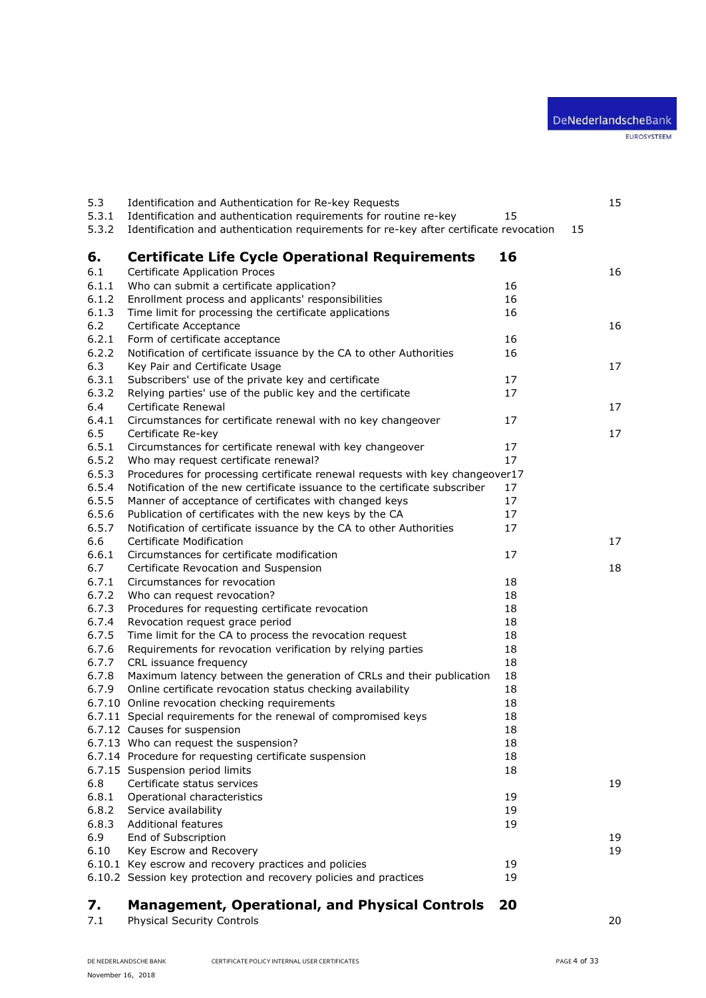| 5.3   | Identification and Authentication for Re-key Requests                                  |          |    | 15 |
|-------|----------------------------------------------------------------------------------------|----------|----|----|
| 5.3.1 | Identification and authentication requirements for routine re-key                      | 15       |    |    |
| 5.3.2 | Identification and authentication requirements for re-key after certificate revocation |          | 15 |    |
| 6.    | <b>Certificate Life Cycle Operational Requirements</b>                                 | 16       |    |    |
| 6.1   | <b>Certificate Application Proces</b>                                                  |          |    | 16 |
| 6.1.1 | Who can submit a certificate application?                                              | 16       |    |    |
| 6.1.2 | Enrollment process and applicants' responsibilities                                    | 16       |    |    |
| 6.1.3 | Time limit for processing the certificate applications                                 | 16       |    |    |
| $6.2$ | Certificate Acceptance                                                                 |          |    | 16 |
| 6.2.1 | Form of certificate acceptance                                                         | 16       |    |    |
| 6.2.2 | Notification of certificate issuance by the CA to other Authorities                    | 16       |    |    |
| 6.3   | Key Pair and Certificate Usage                                                         |          |    | 17 |
| 6.3.1 | Subscribers' use of the private key and certificate                                    | 17       |    |    |
| 6.3.2 | Relying parties' use of the public key and the certificate                             | 17       |    |    |
| 6.4   | Certificate Renewal                                                                    |          |    | 17 |
| 6.4.1 | Circumstances for certificate renewal with no key changeover                           | 17       |    |    |
| 6.5   |                                                                                        |          |    | 17 |
| 6.5.1 | Certificate Re-key                                                                     |          |    |    |
|       | Circumstances for certificate renewal with key changeover                              | 17<br>17 |    |    |
| 6.5.2 | Who may request certificate renewal?                                                   |          |    |    |
| 6.5.3 | Procedures for processing certificate renewal requests with key changeover17           |          |    |    |
| 6.5.4 | Notification of the new certificate issuance to the certificate subscriber             | 17       |    |    |
| 6.5.5 | Manner of acceptance of certificates with changed keys                                 | 17       |    |    |
| 6.5.6 | Publication of certificates with the new keys by the CA                                | 17       |    |    |
| 6.5.7 | Notification of certificate issuance by the CA to other Authorities                    | 17       |    |    |
| 6.6   | Certificate Modification                                                               |          |    | 17 |
| 6.6.1 | Circumstances for certificate modification                                             | 17       |    |    |
| 6.7   | Certificate Revocation and Suspension                                                  |          |    | 18 |
| 6.7.1 | Circumstances for revocation                                                           | 18       |    |    |
| 6.7.2 | Who can request revocation?                                                            | 18       |    |    |
| 6.7.3 | Procedures for requesting certificate revocation                                       | 18       |    |    |
| 6.7.4 | Revocation request grace period                                                        | 18       |    |    |
| 6.7.5 | Time limit for the CA to process the revocation request                                | 18       |    |    |
| 6.7.6 | Requirements for revocation verification by relying parties                            | 18       |    |    |
| 6.7.7 | CRL issuance frequency                                                                 | 18       |    |    |
| 6.7.8 | Maximum latency between the generation of CRLs and their publication                   | 18       |    |    |
| 6.7.9 | Online certificate revocation status checking availability                             | 18       |    |    |
|       | 6.7.10 Online revocation checking requirements                                         | 18       |    |    |
|       | 6.7.11 Special requirements for the renewal of compromised keys                        | 18       |    |    |
|       | 6.7.12 Causes for suspension                                                           | 18       |    |    |
|       | 6.7.13 Who can request the suspension?                                                 | 18       |    |    |
|       | 6.7.14 Procedure for requesting certificate suspension                                 | 18       |    |    |
|       | 6.7.15 Suspension period limits                                                        | 18       |    |    |
| 6.8   | Certificate status services                                                            |          |    | 19 |
| 6.8.1 | Operational characteristics                                                            | 19       |    |    |
| 6.8.2 | Service availability                                                                   | 19       |    |    |
| 6.8.3 | <b>Additional features</b>                                                             | 19       |    |    |
| 6.9   | End of Subscription                                                                    |          |    | 19 |
| 6.10  | Key Escrow and Recovery                                                                |          |    | 19 |
|       | 6.10.1 Key escrow and recovery practices and policies                                  | 19       |    |    |
|       | 6.10.2 Session key protection and recovery policies and practices                      | 19       |    |    |
| 7.    | <b>Management, Operational, and Physical Controls</b>                                  | 20       |    |    |
| 7.1   | <b>Physical Security Controls</b>                                                      |          |    | 20 |

[Physical Security Controls](#page-19-1) 20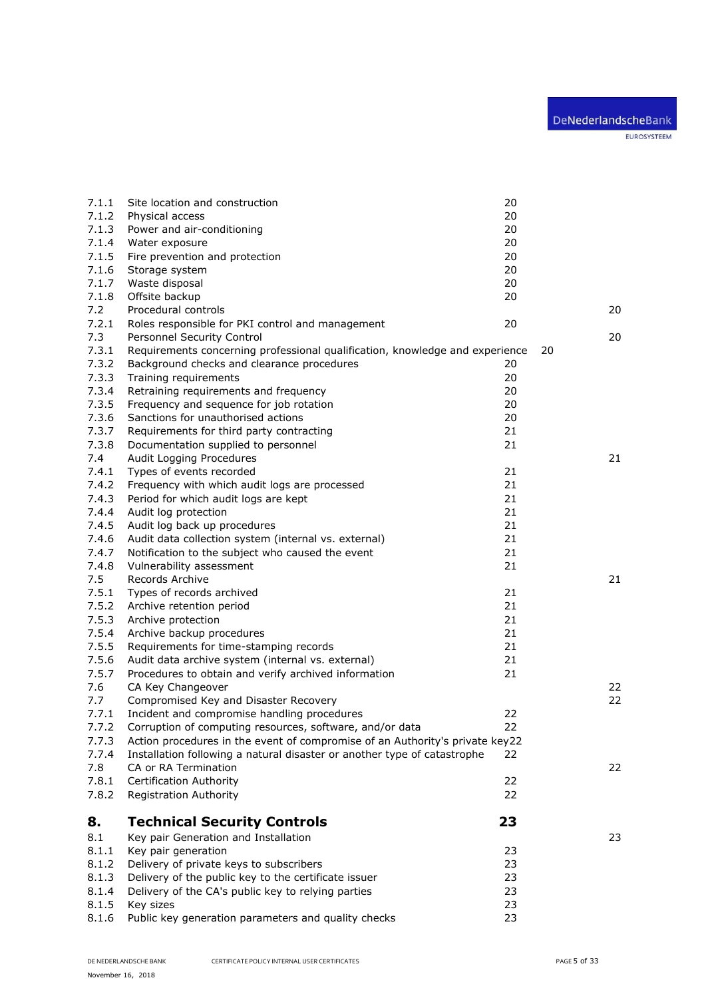| 7.1.1 | Site location and construction                                               | 20 |    |
|-------|------------------------------------------------------------------------------|----|----|
| 7.1.2 | Physical access                                                              | 20 |    |
| 7.1.3 | Power and air-conditioning                                                   | 20 |    |
| 7.1.4 | Water exposure                                                               | 20 |    |
| 7.1.5 | Fire prevention and protection                                               | 20 |    |
| 7.1.6 | Storage system                                                               | 20 |    |
| 7.1.7 | Waste disposal                                                               | 20 |    |
| 7.1.8 | Offsite backup                                                               | 20 |    |
| 7.2   | Procedural controls                                                          |    | 20 |
| 7.2.1 | Roles responsible for PKI control and management                             | 20 |    |
| 7.3   | Personnel Security Control                                                   |    | 20 |
| 7.3.1 | Requirements concerning professional qualification, knowledge and experience |    | 20 |
| 7.3.2 | Background checks and clearance procedures                                   | 20 |    |
| 7.3.3 | Training requirements                                                        | 20 |    |
| 7.3.4 | Retraining requirements and frequency                                        | 20 |    |
| 7.3.5 | Frequency and sequence for job rotation                                      | 20 |    |
| 7.3.6 | Sanctions for unauthorised actions                                           | 20 |    |
| 7.3.7 | Requirements for third party contracting                                     | 21 |    |
| 7.3.8 | Documentation supplied to personnel                                          | 21 |    |
| 7.4   | Audit Logging Procedures                                                     |    | 21 |
| 7.4.1 | Types of events recorded                                                     | 21 |    |
| 7.4.2 | Frequency with which audit logs are processed                                | 21 |    |
| 7.4.3 | Period for which audit logs are kept                                         | 21 |    |
| 7.4.4 | Audit log protection                                                         | 21 |    |
| 7.4.5 | Audit log back up procedures                                                 | 21 |    |
| 7.4.6 | Audit data collection system (internal vs. external)                         | 21 |    |
| 7.4.7 | Notification to the subject who caused the event                             | 21 |    |
| 7.4.8 | Vulnerability assessment                                                     | 21 |    |
| 7.5   | Records Archive                                                              |    | 21 |
| 7.5.1 | Types of records archived                                                    | 21 |    |
| 7.5.2 | Archive retention period                                                     | 21 |    |
| 7.5.3 | Archive protection                                                           | 21 |    |
| 7.5.4 | Archive backup procedures                                                    | 21 |    |
| 7.5.5 | Requirements for time-stamping records                                       | 21 |    |
| 7.5.6 | Audit data archive system (internal vs. external)                            | 21 |    |
| 7.5.7 | Procedures to obtain and verify archived information                         | 21 |    |
| 7.6   | CA Key Changeover                                                            |    | 22 |
| 7.7   | Compromised Key and Disaster Recovery                                        |    | 22 |
| 7.7.1 | Incident and compromise handling procedures                                  | 22 |    |
| 7.7.2 | Corruption of computing resources, software, and/or data                     | 22 |    |
| 7.7.3 | Action procedures in the event of compromise of an Authority's private key22 |    |    |
| 7.7.4 | Installation following a natural disaster or another type of catastrophe     | 22 |    |
| 7.8   | CA or RA Termination                                                         |    | 22 |
| 7.8.1 | Certification Authority                                                      | 22 |    |
| 7.8.2 | <b>Registration Authority</b>                                                | 22 |    |
| 8.    | <b>Technical Security Controls</b>                                           | 23 |    |
|       |                                                                              |    |    |
| 8.1   | Key pair Generation and Installation                                         |    | 23 |
| 8.1.1 | Key pair generation                                                          | 23 |    |
| 8.1.2 | Delivery of private keys to subscribers                                      | 23 |    |
| 8.1.3 | Delivery of the public key to the certificate issuer                         | 23 |    |
| 8.1.4 | Delivery of the CA's public key to relying parties                           | 23 |    |
| 8.1.5 | Key sizes                                                                    | 23 |    |
| 8.1.6 | Public key generation parameters and quality checks                          | 23 |    |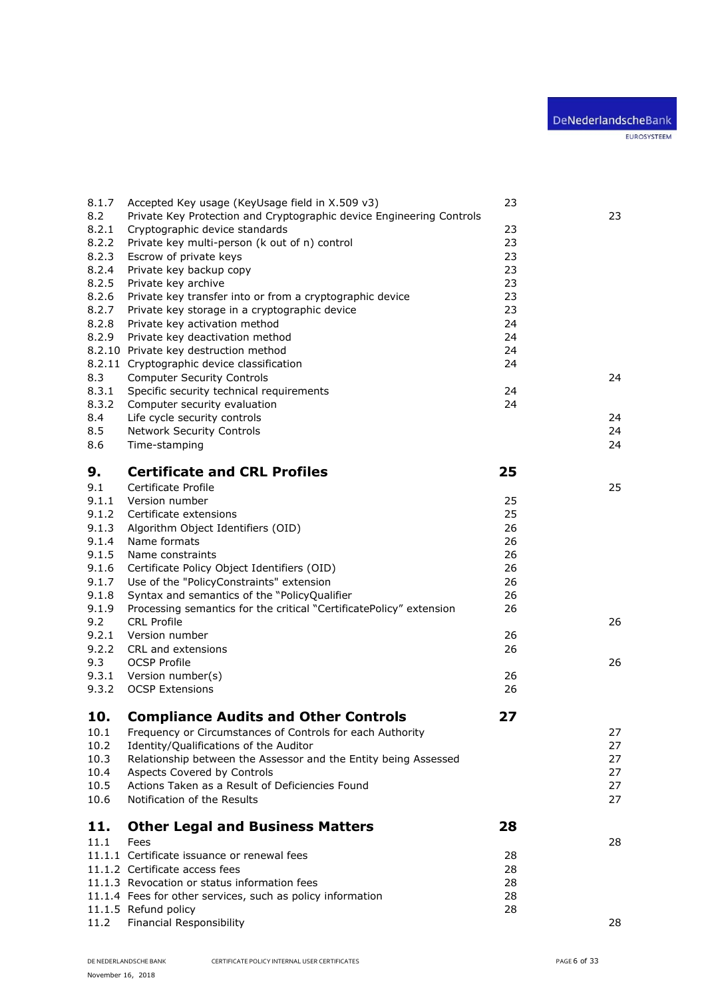| 8.1.7<br>8.2<br>8.2.1<br>8.2.2<br>8.2.3<br>8.2.4<br>8.2.5<br>8.2.6<br>8.2.7<br>8.2.8<br>8.2.9<br>8.3<br>8.3.1<br>8.3.2<br>8.4 | Accepted Key usage (KeyUsage field in X.509 v3)<br>Private Key Protection and Cryptographic device Engineering Controls<br>Cryptographic device standards<br>Private key multi-person (k out of n) control<br>Escrow of private keys<br>Private key backup copy<br>Private key archive<br>Private key transfer into or from a cryptographic device<br>Private key storage in a cryptographic device<br>Private key activation method<br>Private key deactivation method<br>8.2.10 Private key destruction method<br>8.2.11 Cryptographic device classification<br><b>Computer Security Controls</b><br>Specific security technical requirements<br>Computer security evaluation<br>Life cycle security controls | 23<br>23<br>23<br>23<br>23<br>23<br>23<br>23<br>24<br>24<br>24<br>24<br>24<br>24 | 23<br>24<br>24 |
|-------------------------------------------------------------------------------------------------------------------------------|-----------------------------------------------------------------------------------------------------------------------------------------------------------------------------------------------------------------------------------------------------------------------------------------------------------------------------------------------------------------------------------------------------------------------------------------------------------------------------------------------------------------------------------------------------------------------------------------------------------------------------------------------------------------------------------------------------------------|----------------------------------------------------------------------------------|----------------|
| 8.5                                                                                                                           | <b>Network Security Controls</b>                                                                                                                                                                                                                                                                                                                                                                                                                                                                                                                                                                                                                                                                                |                                                                                  | 24             |
| 8.6                                                                                                                           | Time-stamping                                                                                                                                                                                                                                                                                                                                                                                                                                                                                                                                                                                                                                                                                                   |                                                                                  | 24             |
| 9.                                                                                                                            | <b>Certificate and CRL Profiles</b>                                                                                                                                                                                                                                                                                                                                                                                                                                                                                                                                                                                                                                                                             | 25                                                                               |                |
| 9.1                                                                                                                           | Certificate Profile                                                                                                                                                                                                                                                                                                                                                                                                                                                                                                                                                                                                                                                                                             |                                                                                  | 25             |
| 9.1.1                                                                                                                         | Version number                                                                                                                                                                                                                                                                                                                                                                                                                                                                                                                                                                                                                                                                                                  | 25                                                                               |                |
| 9.1.2                                                                                                                         | Certificate extensions                                                                                                                                                                                                                                                                                                                                                                                                                                                                                                                                                                                                                                                                                          | 25                                                                               |                |
| 9.1.3                                                                                                                         | Algorithm Object Identifiers (OID)                                                                                                                                                                                                                                                                                                                                                                                                                                                                                                                                                                                                                                                                              | 26                                                                               |                |
| 9.1.4                                                                                                                         | Name formats                                                                                                                                                                                                                                                                                                                                                                                                                                                                                                                                                                                                                                                                                                    | 26                                                                               |                |
| 9.1.5                                                                                                                         | Name constraints                                                                                                                                                                                                                                                                                                                                                                                                                                                                                                                                                                                                                                                                                                | 26                                                                               |                |
| 9.1.6                                                                                                                         | Certificate Policy Object Identifiers (OID)                                                                                                                                                                                                                                                                                                                                                                                                                                                                                                                                                                                                                                                                     | 26<br>26                                                                         |                |
| 9.1.7<br>9.1.8                                                                                                                | Use of the "PolicyConstraints" extension<br>Syntax and semantics of the "PolicyQualifier                                                                                                                                                                                                                                                                                                                                                                                                                                                                                                                                                                                                                        | 26                                                                               |                |
| 9.1.9                                                                                                                         | Processing semantics for the critical "CertificatePolicy" extension                                                                                                                                                                                                                                                                                                                                                                                                                                                                                                                                                                                                                                             | 26                                                                               |                |
| 9.2                                                                                                                           | <b>CRL Profile</b>                                                                                                                                                                                                                                                                                                                                                                                                                                                                                                                                                                                                                                                                                              |                                                                                  | 26             |
| 9.2.1                                                                                                                         | Version number                                                                                                                                                                                                                                                                                                                                                                                                                                                                                                                                                                                                                                                                                                  | 26                                                                               |                |
| 9.2.2                                                                                                                         | CRL and extensions                                                                                                                                                                                                                                                                                                                                                                                                                                                                                                                                                                                                                                                                                              | 26                                                                               |                |
| 9.3                                                                                                                           | <b>OCSP Profile</b>                                                                                                                                                                                                                                                                                                                                                                                                                                                                                                                                                                                                                                                                                             |                                                                                  | 26             |
| 9.3.1                                                                                                                         | Version number(s)                                                                                                                                                                                                                                                                                                                                                                                                                                                                                                                                                                                                                                                                                               | 26                                                                               |                |
| 9.3.2                                                                                                                         | <b>OCSP Extensions</b>                                                                                                                                                                                                                                                                                                                                                                                                                                                                                                                                                                                                                                                                                          | 26                                                                               |                |
| 10.                                                                                                                           | <b>Compliance Audits and Other Controls</b>                                                                                                                                                                                                                                                                                                                                                                                                                                                                                                                                                                                                                                                                     | 27                                                                               |                |
| 10.1                                                                                                                          | Frequency or Circumstances of Controls for each Authority                                                                                                                                                                                                                                                                                                                                                                                                                                                                                                                                                                                                                                                       |                                                                                  | 27             |
| 10.2                                                                                                                          | Identity/Qualifications of the Auditor                                                                                                                                                                                                                                                                                                                                                                                                                                                                                                                                                                                                                                                                          |                                                                                  | 27             |
| 10.3                                                                                                                          | Relationship between the Assessor and the Entity being Assessed                                                                                                                                                                                                                                                                                                                                                                                                                                                                                                                                                                                                                                                 |                                                                                  | 27             |
| 10.4                                                                                                                          | Aspects Covered by Controls                                                                                                                                                                                                                                                                                                                                                                                                                                                                                                                                                                                                                                                                                     |                                                                                  | 27             |
| 10.5                                                                                                                          | Actions Taken as a Result of Deficiencies Found                                                                                                                                                                                                                                                                                                                                                                                                                                                                                                                                                                                                                                                                 |                                                                                  | 27             |
| 10.6                                                                                                                          | Notification of the Results                                                                                                                                                                                                                                                                                                                                                                                                                                                                                                                                                                                                                                                                                     |                                                                                  | 27             |
|                                                                                                                               |                                                                                                                                                                                                                                                                                                                                                                                                                                                                                                                                                                                                                                                                                                                 |                                                                                  |                |
| 11.                                                                                                                           | <b>Other Legal and Business Matters</b>                                                                                                                                                                                                                                                                                                                                                                                                                                                                                                                                                                                                                                                                         | 28                                                                               |                |
| 11.1                                                                                                                          | Fees                                                                                                                                                                                                                                                                                                                                                                                                                                                                                                                                                                                                                                                                                                            |                                                                                  | 28             |
|                                                                                                                               | 11.1.1 Certificate issuance or renewal fees                                                                                                                                                                                                                                                                                                                                                                                                                                                                                                                                                                                                                                                                     | 28                                                                               |                |
|                                                                                                                               | 11.1.2 Certificate access fees<br>11.1.3 Revocation or status information fees                                                                                                                                                                                                                                                                                                                                                                                                                                                                                                                                                                                                                                  | 28<br>28                                                                         |                |
|                                                                                                                               | 11.1.4 Fees for other services, such as policy information                                                                                                                                                                                                                                                                                                                                                                                                                                                                                                                                                                                                                                                      | 28                                                                               |                |
|                                                                                                                               | 11.1.5 Refund policy                                                                                                                                                                                                                                                                                                                                                                                                                                                                                                                                                                                                                                                                                            | 28                                                                               |                |
| 11.2                                                                                                                          | Financial Responsibility                                                                                                                                                                                                                                                                                                                                                                                                                                                                                                                                                                                                                                                                                        |                                                                                  | 28             |
|                                                                                                                               |                                                                                                                                                                                                                                                                                                                                                                                                                                                                                                                                                                                                                                                                                                                 |                                                                                  |                |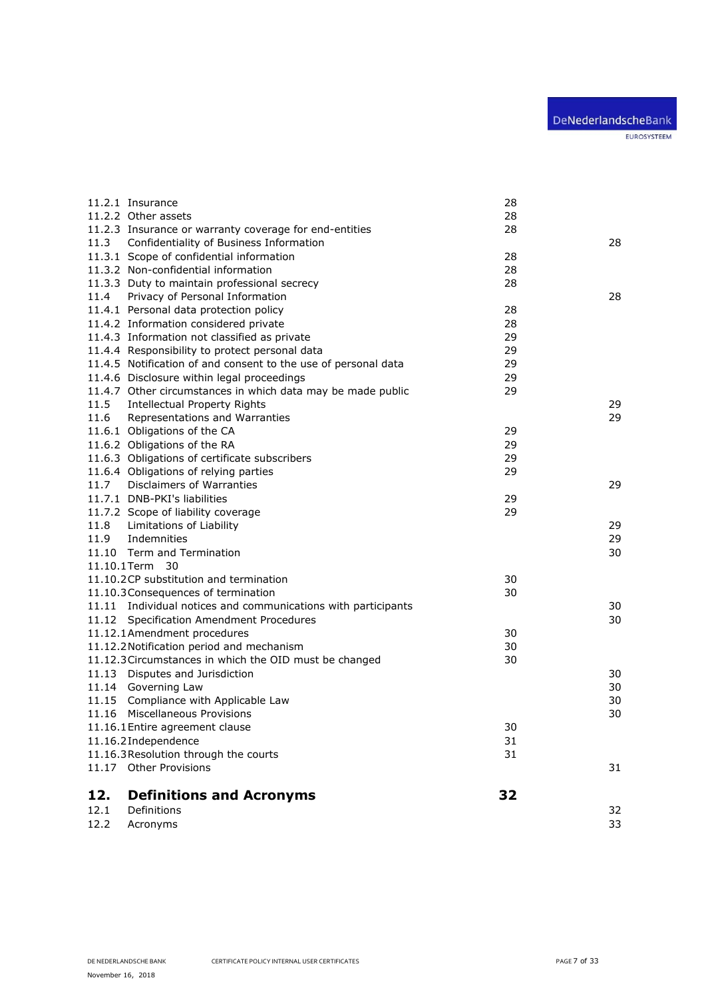|             | 11.2.1 Insurance                                               | 28 |    |
|-------------|----------------------------------------------------------------|----|----|
|             | 11.2.2 Other assets                                            | 28 |    |
|             | 11.2.3 Insurance or warranty coverage for end-entities         | 28 |    |
| 11.3        | Confidentiality of Business Information                        |    | 28 |
|             | 11.3.1 Scope of confidential information                       | 28 |    |
|             | 11.3.2 Non-confidential information                            | 28 |    |
|             | 11.3.3 Duty to maintain professional secrecy                   | 28 |    |
| 11.4        | Privacy of Personal Information                                |    | 28 |
|             | 11.4.1 Personal data protection policy                         | 28 |    |
|             | 11.4.2 Information considered private                          | 28 |    |
|             | 11.4.3 Information not classified as private                   | 29 |    |
|             | 11.4.4 Responsibility to protect personal data                 | 29 |    |
|             | 11.4.5 Notification of and consent to the use of personal data | 29 |    |
|             | 11.4.6 Disclosure within legal proceedings                     | 29 |    |
|             | 11.4.7 Other circumstances in which data may be made public    | 29 |    |
| 11.5        | <b>Intellectual Property Rights</b>                            |    | 29 |
| 11.6        | Representations and Warranties                                 |    | 29 |
|             | 11.6.1 Obligations of the CA                                   | 29 |    |
|             | 11.6.2 Obligations of the RA                                   | 29 |    |
|             | 11.6.3 Obligations of certificate subscribers                  | 29 |    |
|             | 11.6.4 Obligations of relying parties                          | 29 |    |
| 11.7        | <b>Disclaimers of Warranties</b>                               |    | 29 |
|             | 11.7.1 DNB-PKI's liabilities                                   | 29 |    |
|             | 11.7.2 Scope of liability coverage                             | 29 |    |
| 11.8        | Limitations of Liability                                       |    | 29 |
| 11.9        | Indemnities                                                    |    | 29 |
|             | 11.10 Term and Termination                                     |    | 30 |
| 11.10.1Term | 30                                                             |    |    |
|             | 11.10.2CP substitution and termination                         | 30 |    |
|             | 11.10.3 Consequences of termination                            | 30 |    |
|             | 11.11 Individual notices and communications with participants  |    | 30 |
|             | 11.12 Specification Amendment Procedures                       |    | 30 |
|             | 11.12.1Amendment procedures                                    | 30 |    |
|             | 11.12.2 Notification period and mechanism                      | 30 |    |
|             | 11.12.3 Circumstances in which the OID must be changed         | 30 |    |
|             | 11.13 Disputes and Jurisdiction                                |    | 30 |
|             | 11.14 Governing Law                                            |    | 30 |
|             | 11.15 Compliance with Applicable Law                           |    | 30 |
|             | 11.16 Miscellaneous Provisions                                 |    | 30 |
|             | 11.16.1 Entire agreement clause                                | 30 |    |
|             | 11.16.2Independence                                            | 31 |    |
|             | 11.16.3Resolution through the courts                           | 31 |    |
|             | 11.17 Other Provisions                                         |    | 31 |
| 12.         | <b>Definitions and Acronyms</b>                                | 32 |    |
| 12.1        | Definitions                                                    |    | 32 |
| 12.2        | Acronyms                                                       |    | 33 |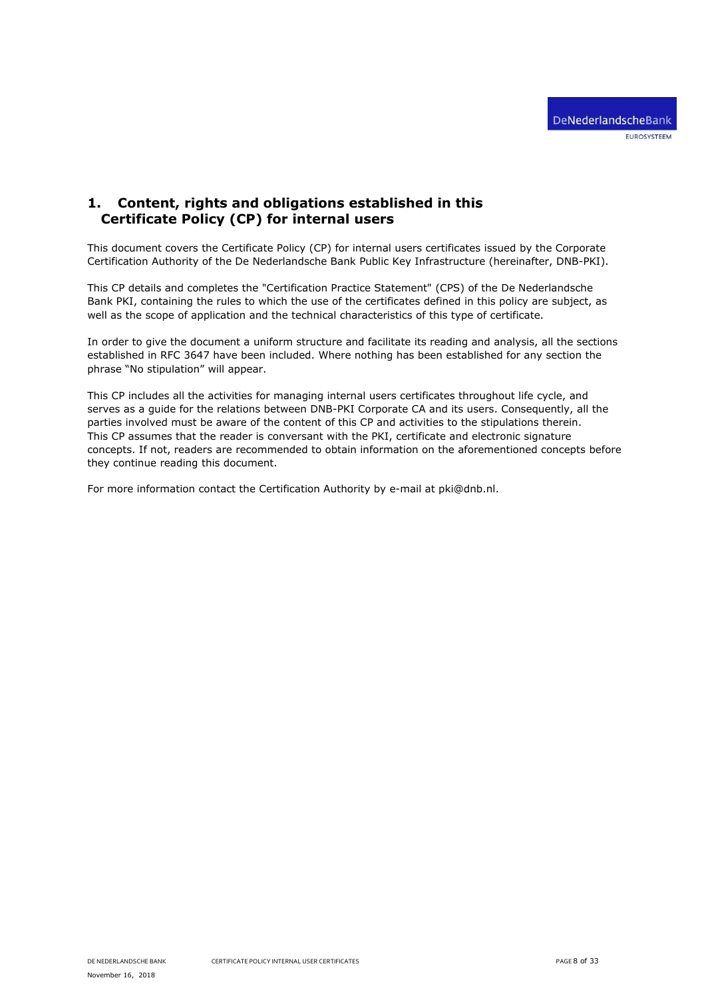# <span id="page-7-0"></span>**1. Content, rights and obligations established in this Certificate Policy (CP) for internal users**

This document covers the Certificate Policy (CP) for internal users certificates issued by the Corporate Certification Authority of the De Nederlandsche Bank Public Key Infrastructure (hereinafter, DNB-PKI).

This CP details and completes the "Certification Practice Statement" (CPS) of the De Nederlandsche Bank PKI, containing the rules to which the use of the certificates defined in this policy are subject, as well as the scope of application and the technical characteristics of this type of certificate.

In order to give the document a uniform structure and facilitate its reading and analysis, all the sections established in RFC 3647 have been included. Where nothing has been established for any section the phrase "No stipulation" will appear.

This CP includes all the activities for managing internal users certificates throughout life cycle, and serves as a guide for the relations between DNB-PKI Corporate CA and its users. Consequently, all the parties involved must be aware of the content of this CP and activities to the stipulations therein. This CP assumes that the reader is conversant with the PKI, certificate and electronic signature concepts. If not, readers are recommended to obtain information on the aforementioned concepts before they continue reading this document.

For more information contact the Certification Authority by e-mail at pki@dnb.nl.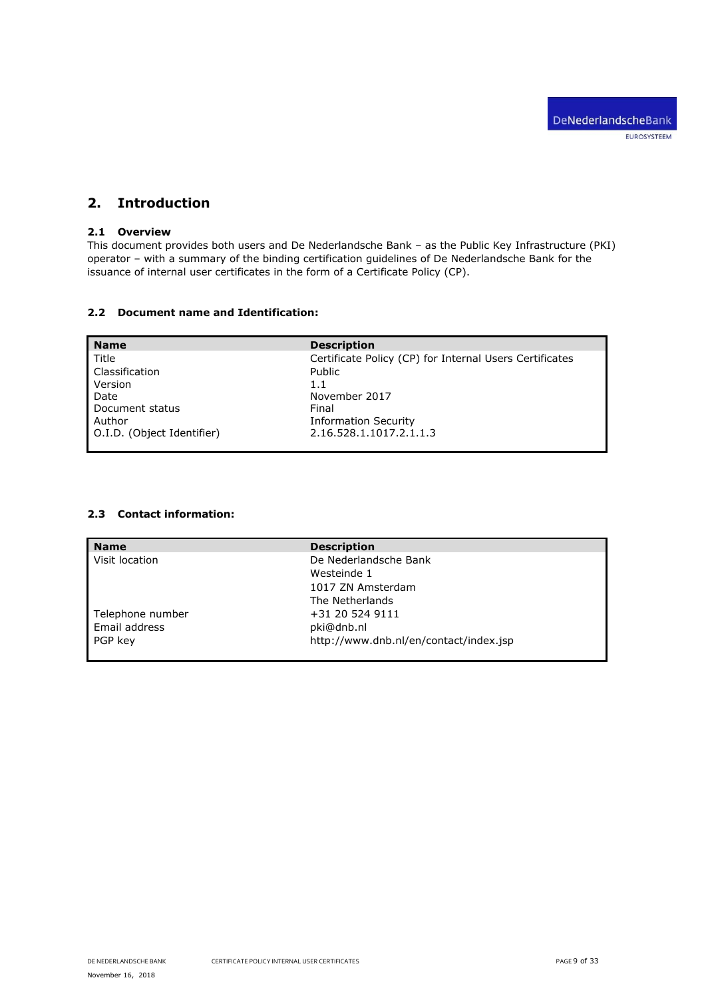# <span id="page-8-0"></span>**2. Introduction**

# <span id="page-8-1"></span>**2.1 Overview**

This document provides both users and De Nederlandsche Bank – as the Public Key Infrastructure (PKI) operator – with a summary of the binding certification guidelines of De Nederlandsche Bank for the issuance of internal user certificates in the form of a Certificate Policy (CP).

# <span id="page-8-2"></span>**2.2 Document name and Identification:**

| <b>Name</b>                | <b>Description</b>                                      |
|----------------------------|---------------------------------------------------------|
| Title                      | Certificate Policy (CP) for Internal Users Certificates |
| Classification             | Public                                                  |
| Version                    | 1.1                                                     |
| Date                       | November 2017                                           |
| Document status            | Final                                                   |
| Author                     | <b>Information Security</b>                             |
| O.I.D. (Object Identifier) | 2.16.528.1.1017.2.1.1.3                                 |
|                            |                                                         |

# <span id="page-8-3"></span>**2.3 Contact information:**

| <b>Name</b>      | <b>Description</b>                     |
|------------------|----------------------------------------|
| Visit location   | De Nederlandsche Bank                  |
|                  | Westeinde 1                            |
|                  | 1017 ZN Amsterdam                      |
|                  | The Netherlands                        |
| Telephone number | +31 20 524 9111                        |
| Email address    | pki@dnb.nl                             |
| PGP kev          | http://www.dnb.nl/en/contact/index.jsp |
|                  |                                        |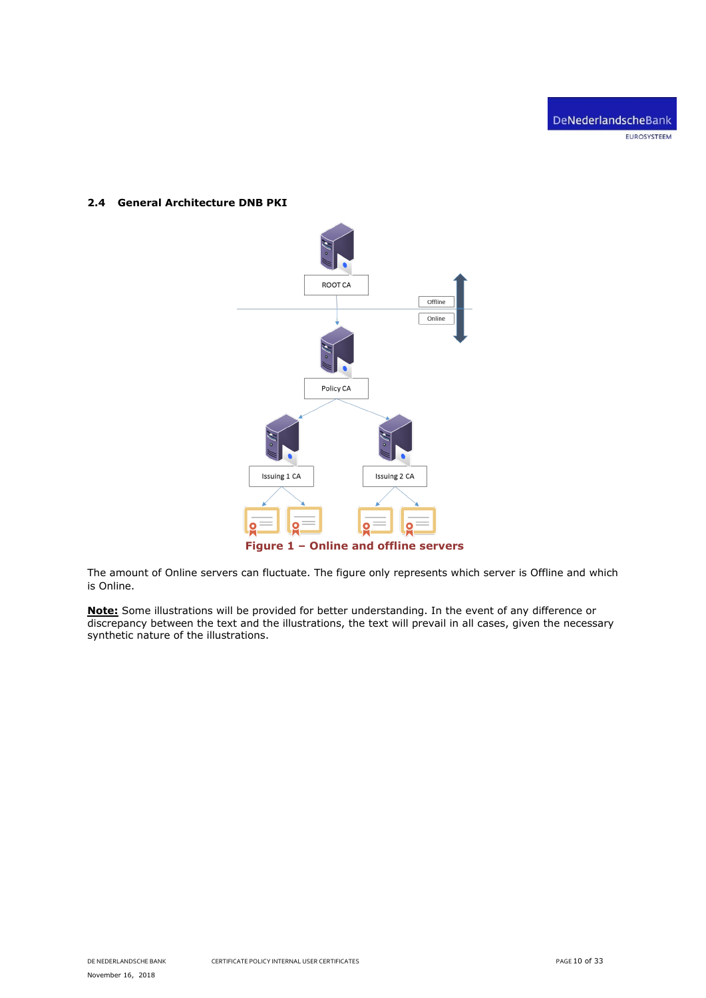# <span id="page-9-0"></span>**2.4 General Architecture DNB PKI**



The amount of Online servers can fluctuate. The figure only represents which server is Offline and which is Online.

**Note:** Some illustrations will be provided for better understanding. In the event of any difference or discrepancy between the text and the illustrations, the text will prevail in all cases, given the necessary synthetic nature of the illustrations.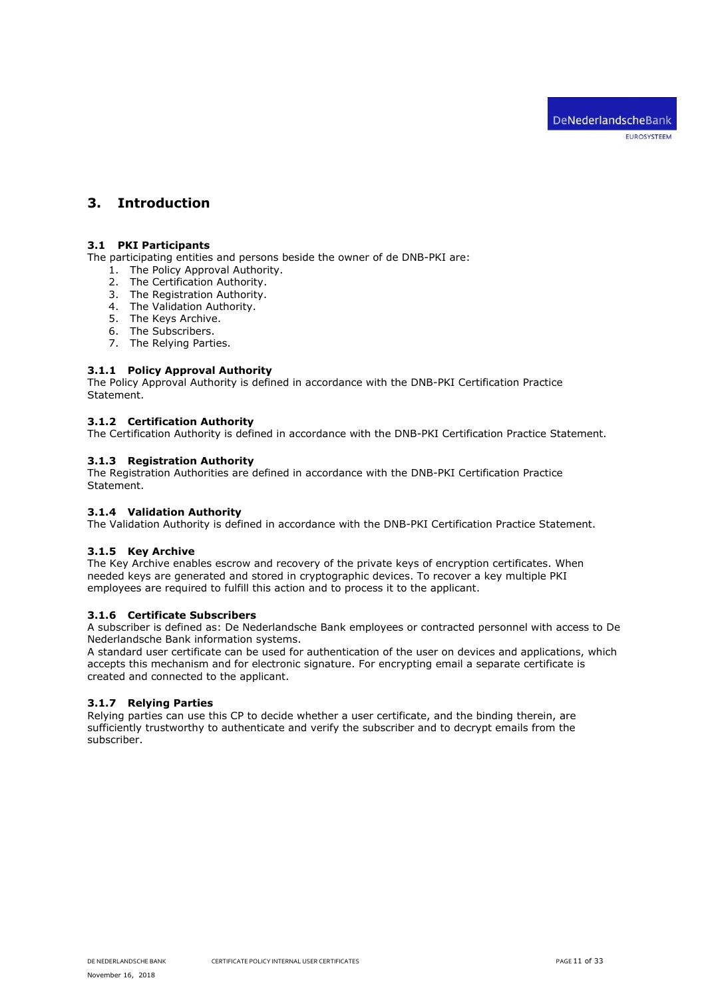# <span id="page-10-0"></span>**3. Introduction**

# <span id="page-10-1"></span>**3.1 PKI Participants**

The participating entities and persons beside the owner of de DNB-PKI are:

- 1. The Policy Approval Authority.
- 2. The Certification Authority.
- 3. The Registration Authority.
- 4. The Validation Authority.
- 5. The Keys Archive.
- 6. The Subscribers.
- 7. The Relying Parties.

## <span id="page-10-2"></span>**3.1.1 Policy Approval Authority**

The Policy Approval Authority is defined in accordance with the DNB-PKI Certification Practice Statement.

### <span id="page-10-3"></span>**3.1.2 Certification Authority**

<span id="page-10-4"></span>The Certification Authority is defined in accordance with the DNB-PKI Certification Practice Statement.

# **3.1.3 Registration Authority**

The Registration Authorities are defined in accordance with the DNB-PKI Certification Practice Statement.

## <span id="page-10-5"></span>**3.1.4 Validation Authority**

<span id="page-10-6"></span>The Validation Authority is defined in accordance with the DNB-PKI Certification Practice Statement.

### **3.1.5 Key Archive**

The Key Archive enables escrow and recovery of the private keys of encryption certificates. When needed keys are generated and stored in cryptographic devices. To recover a key multiple PKI employees are required to fulfill this action and to process it to the applicant.

## <span id="page-10-7"></span>**3.1.6 Certificate Subscribers**

A subscriber is defined as: De Nederlandsche Bank employees or contracted personnel with access to De Nederlandsche Bank information systems.

A standard user certificate can be used for authentication of the user on devices and applications, which accepts this mechanism and for electronic signature. For encrypting email a separate certificate is created and connected to the applicant.

### <span id="page-10-8"></span>**3.1.7 Relying Parties**

Relying parties can use this CP to decide whether a user certificate, and the binding therein, are sufficiently trustworthy to authenticate and verify the subscriber and to decrypt emails from the subscriber.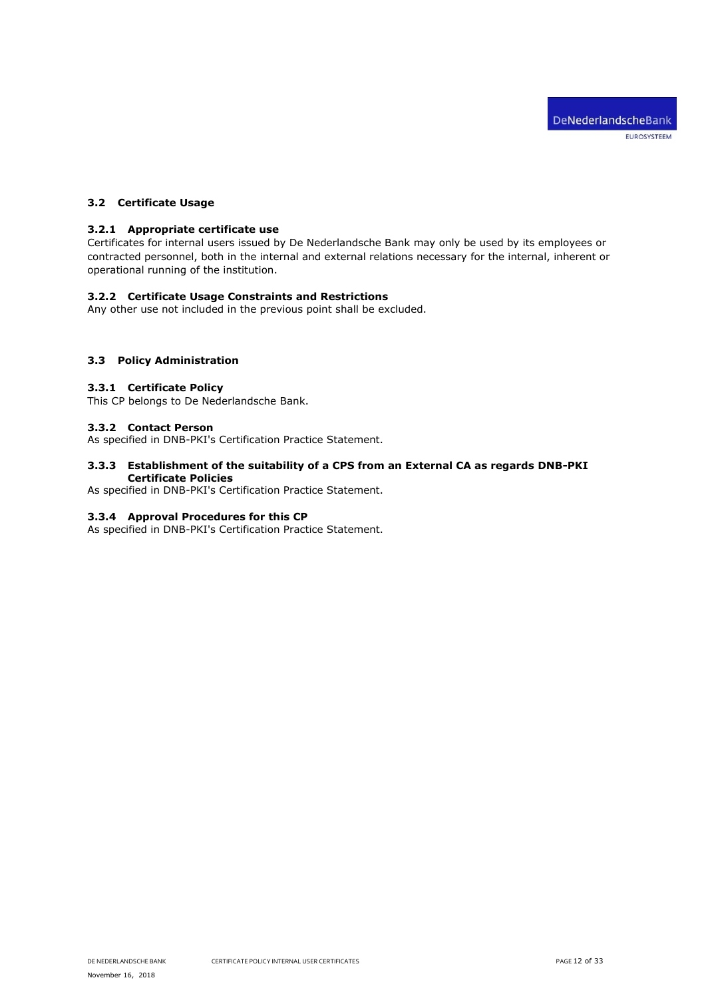# <span id="page-11-1"></span><span id="page-11-0"></span>**3.2 Certificate Usage**

### **3.2.1 Appropriate certificate use**

Certificates for internal users issued by De Nederlandsche Bank may only be used by its employees or contracted personnel, both in the internal and external relations necessary for the internal, inherent or operational running of the institution.

### <span id="page-11-2"></span>**3.2.2 Certificate Usage Constraints and Restrictions**

Any other use not included in the previous point shall be excluded.

# <span id="page-11-4"></span><span id="page-11-3"></span>**3.3 Policy Administration**

## **3.3.1 Certificate Policy**

<span id="page-11-5"></span>This CP belongs to De Nederlandsche Bank.

### **3.3.2 Contact Person**

<span id="page-11-6"></span>As specified in DNB-PKI's Certification Practice Statement.

## **3.3.3 Establishment of the suitability of a CPS from an External CA as regards DNB-PKI Certificate Policies**

<span id="page-11-7"></span>As specified in DNB-PKI's Certification Practice Statement.

### **3.3.4 Approval Procedures for this CP**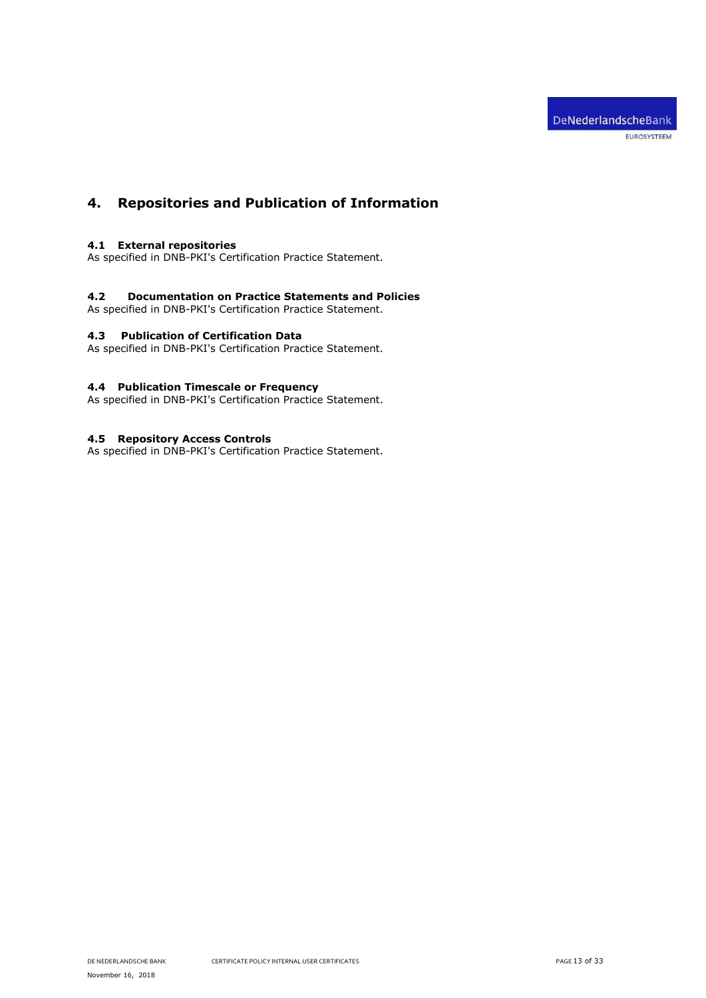# <span id="page-12-0"></span>**4. Repositories and Publication of Information**

# <span id="page-12-1"></span>**4.1 External repositories**

As specified in DNB-PKI's Certification Practice Statement.

## <span id="page-12-2"></span>**4.2 Documentation on Practice Statements and Policies**

<span id="page-12-3"></span>As specified in DNB-PKI's Certification Practice Statement.

# **4.3 Publication of Certification Data**

As specified in DNB-PKI's Certification Practice Statement.

# <span id="page-12-4"></span>**4.4 Publication Timescale or Frequency**

As specified in DNB-PKI's Certification Practice Statement.

# <span id="page-12-5"></span>**4.5 Repository Access Controls**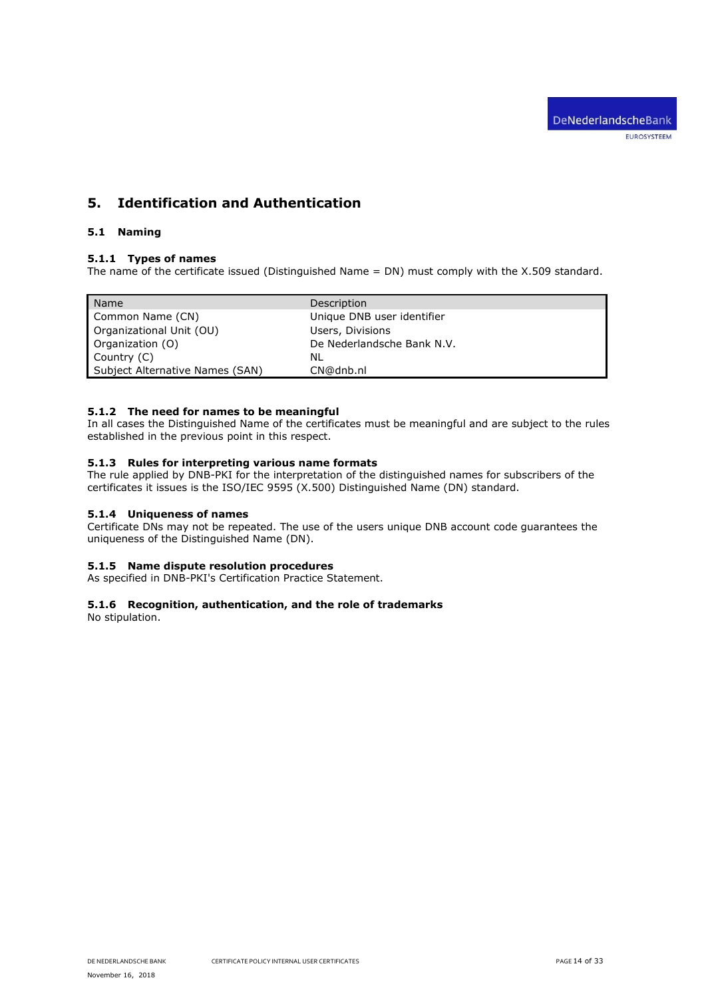# <span id="page-13-0"></span>**5. Identification and Authentication**

# <span id="page-13-2"></span><span id="page-13-1"></span>**5.1 Naming**

# **5.1.1 Types of names**

The name of the certificate issued (Distinguished Name = DN) must comply with the X.509 standard.

| Name                            | Description                |
|---------------------------------|----------------------------|
| Common Name (CN)                | Unique DNB user identifier |
| Organizational Unit (OU)        | Users, Divisions           |
| Organization (O)                | De Nederlandsche Bank N.V. |
| Country (C)                     | NL                         |
| Subject Alternative Names (SAN) | CN@dnb.nl                  |

# <span id="page-13-3"></span>**5.1.2 The need for names to be meaningful**

In all cases the Distinguished Name of the certificates must be meaningful and are subject to the rules established in the previous point in this respect.

# <span id="page-13-4"></span>**5.1.3 Rules for interpreting various name formats**

The rule applied by DNB-PKI for the interpretation of the distinguished names for subscribers of the certificates it issues is the ISO/IEC 9595 (X.500) Distinguished Name (DN) standard.

# <span id="page-13-5"></span>**5.1.4 Uniqueness of names**

Certificate DNs may not be repeated. The use of the users unique DNB account code guarantees the uniqueness of the Distinguished Name (DN).

### <span id="page-13-6"></span>**5.1.5 Name dispute resolution procedures**

<span id="page-13-7"></span>As specified in DNB-PKI's Certification Practice Statement.

# **5.1.6 Recognition, authentication, and the role of trademarks**

No stipulation.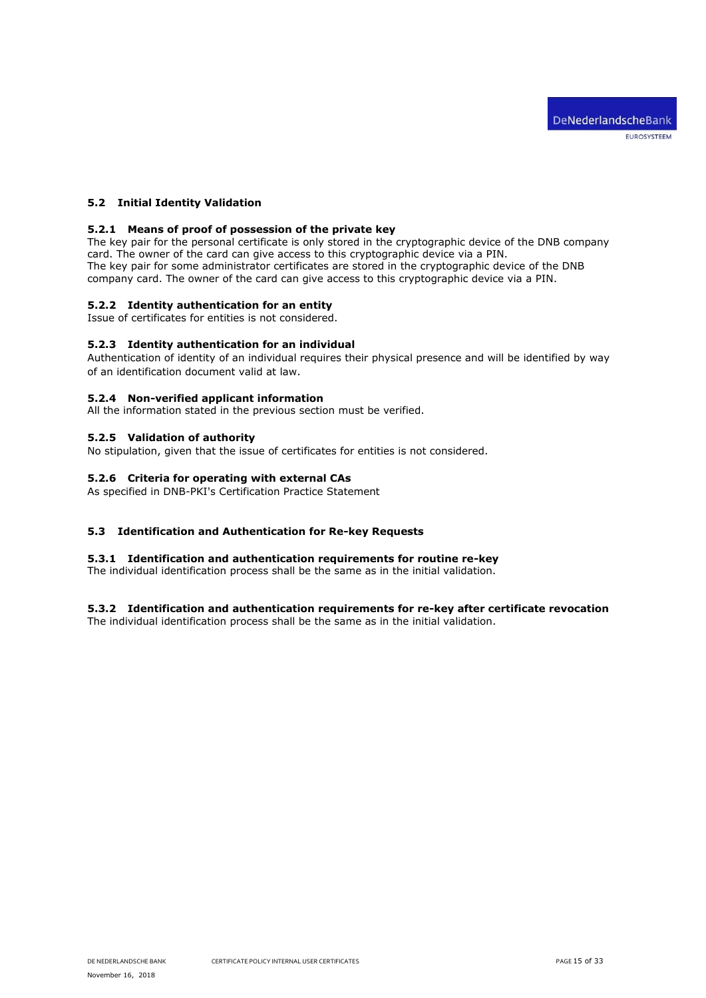# <span id="page-14-1"></span><span id="page-14-0"></span>**5.2 Initial Identity Validation**

## **5.2.1 Means of proof of possession of the private key**

The key pair for the personal certificate is only stored in the cryptographic device of the DNB company card. The owner of the card can give access to this cryptographic device via a PIN. The key pair for some administrator certificates are stored in the cryptographic device of the DNB company card. The owner of the card can give access to this cryptographic device via a PIN.

## <span id="page-14-2"></span>**5.2.2 Identity authentication for an entity**

<span id="page-14-3"></span>Issue of certificates for entities is not considered.

### **5.2.3 Identity authentication for an individual**

Authentication of identity of an individual requires their physical presence and will be identified by way of an identification document valid at law.

### <span id="page-14-4"></span>**5.2.4 Non-verified applicant information**

<span id="page-14-5"></span>All the information stated in the previous section must be verified.

# **5.2.5 Validation of authority**

<span id="page-14-6"></span>No stipulation, given that the issue of certificates for entities is not considered.

## **5.2.6 Criteria for operating with external CAs**

As specified in DNB-PKI's Certification Practice Statement

### <span id="page-14-8"></span><span id="page-14-7"></span>**5.3 Identification and Authentication for Re-key Requests**

### **5.3.1 Identification and authentication requirements for routine re-key**

The individual identification process shall be the same as in the initial validation.

### <span id="page-14-9"></span>**5.3.2 Identification and authentication requirements for re-key after certificate revocation**

The individual identification process shall be the same as in the initial validation.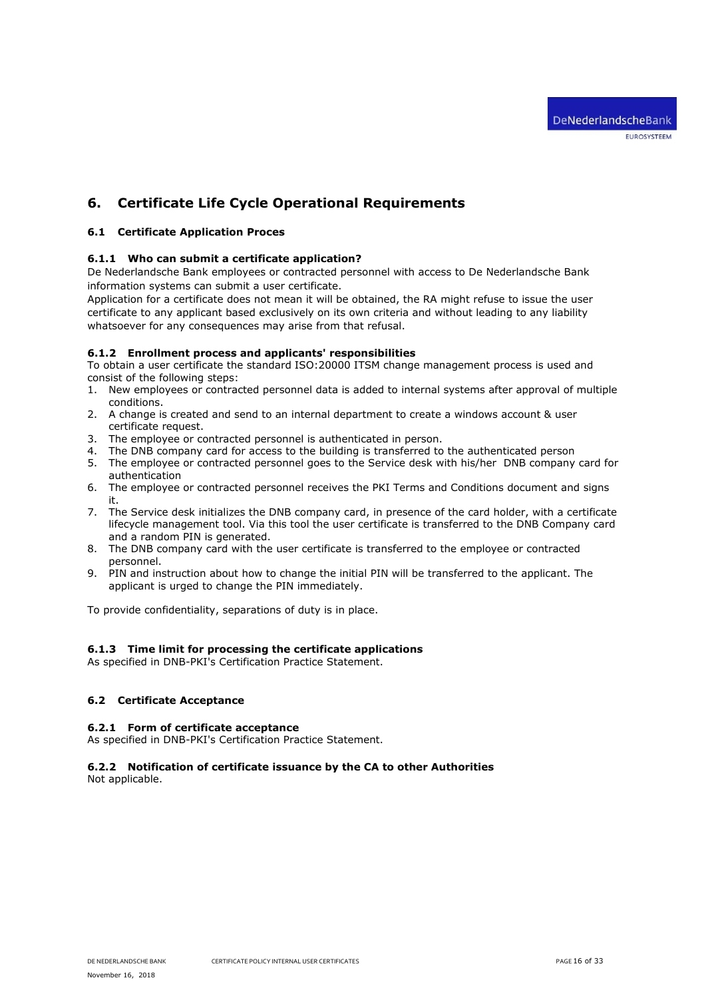# <span id="page-15-0"></span>**6. Certificate Life Cycle Operational Requirements**

# <span id="page-15-2"></span><span id="page-15-1"></span>**6.1 Certificate Application Proces**

# **6.1.1 Who can submit a certificate application?**

De Nederlandsche Bank employees or contracted personnel with access to De Nederlandsche Bank information systems can submit a user certificate.

Application for a certificate does not mean it will be obtained, the RA might refuse to issue the user certificate to any applicant based exclusively on its own criteria and without leading to any liability whatsoever for any consequences may arise from that refusal.

### <span id="page-15-3"></span>**6.1.2 Enrollment process and applicants' responsibilities**

To obtain a user certificate the standard ISO:20000 ITSM change management process is used and consist of the following steps:

- 1. New employees or contracted personnel data is added to internal systems after approval of multiple conditions.
- 2. A change is created and send to an internal department to create a windows account & user certificate request.
- 3. The employee or contracted personnel is authenticated in person.
- 4. The DNB company card for access to the building is transferred to the authenticated person
- 5. The employee or contracted personnel goes to the Service desk with his/her DNB company card for authentication
- 6. The employee or contracted personnel receives the PKI Terms and Conditions document and signs it.
- 7. The Service desk initializes the DNB company card, in presence of the card holder, with a certificate lifecycle management tool. Via this tool the user certificate is transferred to the DNB Company card and a random PIN is generated.
- 8. The DNB company card with the user certificate is transferred to the employee or contracted personnel.
- 9. PIN and instruction about how to change the initial PIN will be transferred to the applicant. The applicant is urged to change the PIN immediately.

To provide confidentiality, separations of duty is in place.

# <span id="page-15-4"></span>**6.1.3 Time limit for processing the certificate applications**

As specified in DNB-PKI's Certification Practice Statement.

# <span id="page-15-6"></span><span id="page-15-5"></span>**6.2 Certificate Acceptance**

### **6.2.1 Form of certificate acceptance**

<span id="page-15-7"></span>As specified in DNB-PKI's Certification Practice Statement.

# **6.2.2 Notification of certificate issuance by the CA to other Authorities**

Not applicable.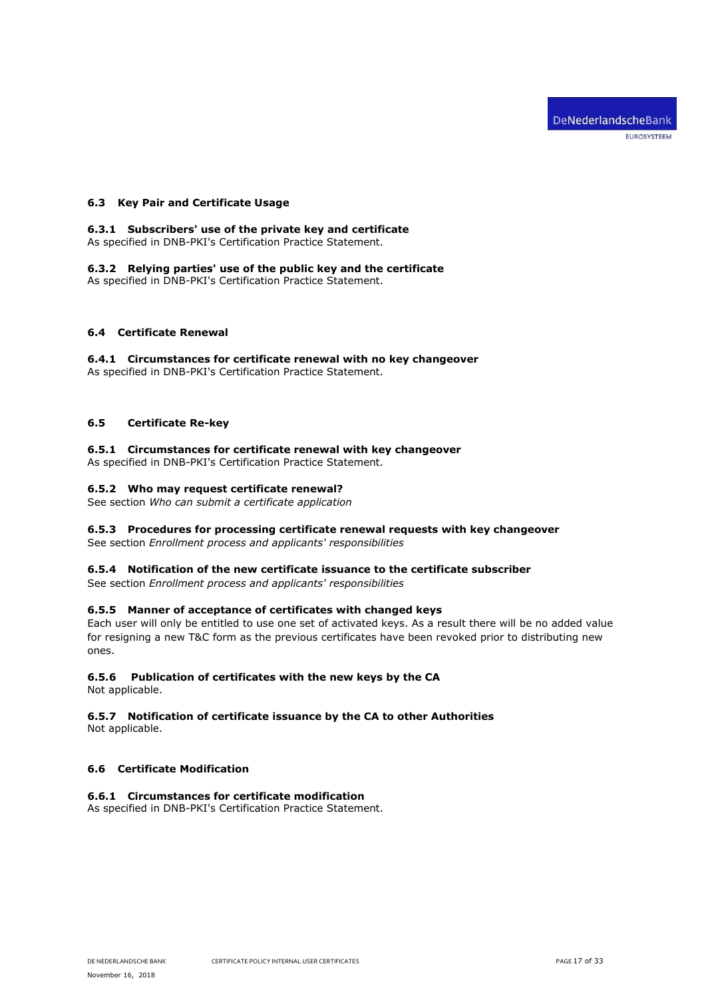# <span id="page-16-1"></span><span id="page-16-0"></span>**6.3 Key Pair and Certificate Usage**

#### **6.3.1 Subscribers' use of the private key and certificate** As specified in DNB-PKI's Certification Practice Statement.

<span id="page-16-2"></span>**6.3.2 Relying parties' use of the public key and the certificate** As specified in DNB-PKI's Certification Practice Statement.

# <span id="page-16-4"></span><span id="page-16-3"></span>**6.4 Certificate Renewal**

**6.4.1 Circumstances for certificate renewal with no key changeover** As specified in DNB-PKI's Certification Practice Statement.

# <span id="page-16-6"></span><span id="page-16-5"></span>**6.5 Certificate Re-key**

# **6.5.1 Circumstances for certificate renewal with key changeover**

<span id="page-16-7"></span>As specified in DNB-PKI's Certification Practice Statement.

# **6.5.2 Who may request certificate renewal?**

<span id="page-16-8"></span>See section *Who can submit a certificate application*

# **6.5.3 Procedures for processing certificate renewal requests with key changeover**

<span id="page-16-9"></span>See section *Enrollment process and applicants' responsibilities*

## **6.5.4 Notification of the new certificate issuance to the certificate subscriber**

<span id="page-16-10"></span>See section *Enrollment process and applicants' responsibilities*

### **6.5.5 Manner of acceptance of certificates with changed keys**

Each user will only be entitled to use one set of activated keys. As a result there will be no added value for resigning a new T&C form as the previous certificates have been revoked prior to distributing new ones.

### <span id="page-16-11"></span>**6.5.6 Publication of certificates with the new keys by the CA**

<span id="page-16-12"></span>Not applicable.

# **6.5.7 Notification of certificate issuance by the CA to other Authorities**

Not applicable.

# <span id="page-16-14"></span><span id="page-16-13"></span>**6.6 Certificate Modification**

### **6.6.1 Circumstances for certificate modification**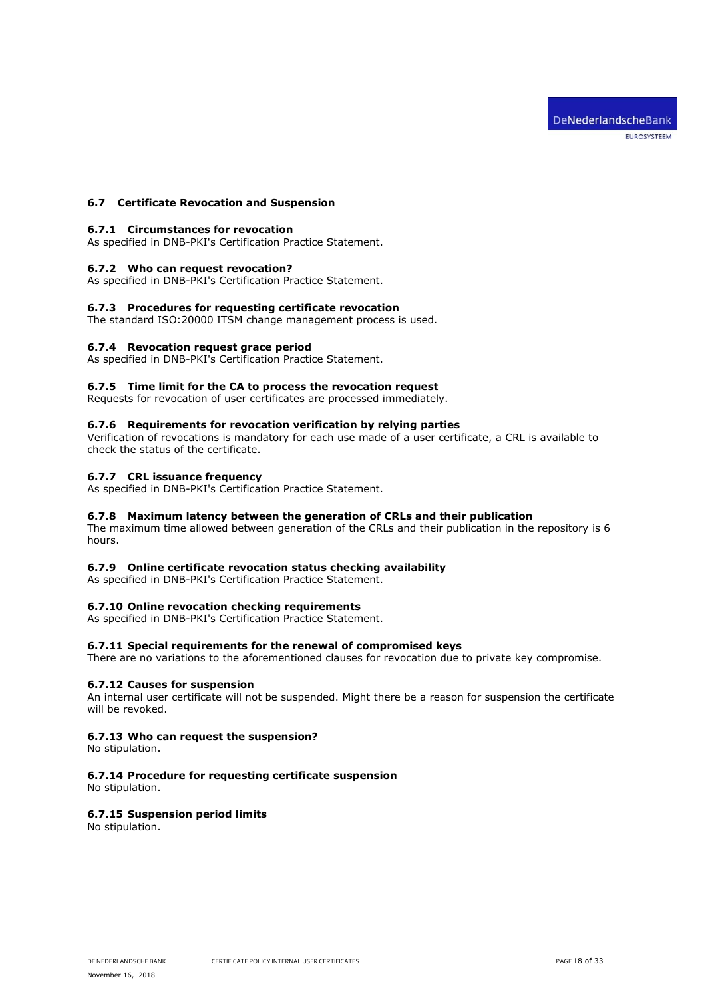## <span id="page-17-1"></span><span id="page-17-0"></span>**6.7 Certificate Revocation and Suspension**

### **6.7.1 Circumstances for revocation**

<span id="page-17-2"></span>As specified in DNB-PKI's Certification Practice Statement.

### **6.7.2 Who can request revocation?**

<span id="page-17-3"></span>As specified in DNB-PKI's Certification Practice Statement.

### **6.7.3 Procedures for requesting certificate revocation**

<span id="page-17-4"></span>The standard ISO:20000 ITSM change management process is used.

### **6.7.4 Revocation request grace period**

<span id="page-17-5"></span>As specified in DNB-PKI's Certification Practice Statement.

# **6.7.5 Time limit for the CA to process the revocation request**

<span id="page-17-6"></span>Requests for revocation of user certificates are processed immediately.

### **6.7.6 Requirements for revocation verification by relying parties**

Verification of revocations is mandatory for each use made of a user certificate, a CRL is available to check the status of the certificate.

## <span id="page-17-7"></span>**6.7.7 CRL issuance frequency**

<span id="page-17-8"></span>As specified in DNB-PKI's Certification Practice Statement.

# **6.7.8 Maximum latency between the generation of CRLs and their publication**

The maximum time allowed between generation of the CRLs and their publication in the repository is 6 hours.

### <span id="page-17-9"></span>**6.7.9 Online certificate revocation status checking availability**

<span id="page-17-10"></span>As specified in DNB-PKI's Certification Practice Statement.

# **6.7.10 Online revocation checking requirements**

<span id="page-17-11"></span>As specified in DNB-PKI's Certification Practice Statement.

### **6.7.11 Special requirements for the renewal of compromised keys**

<span id="page-17-12"></span>There are no variations to the aforementioned clauses for revocation due to private key compromise.

### **6.7.12 Causes for suspension**

An internal user certificate will not be suspended. Might there be a reason for suspension the certificate will be revoked.

# <span id="page-17-13"></span>**6.7.13 Who can request the suspension?**

<span id="page-17-14"></span>No stipulation.

# **6.7.14 Procedure for requesting certificate suspension**

<span id="page-17-15"></span>No stipulation.

### **6.7.15 Suspension period limits**

No stipulation.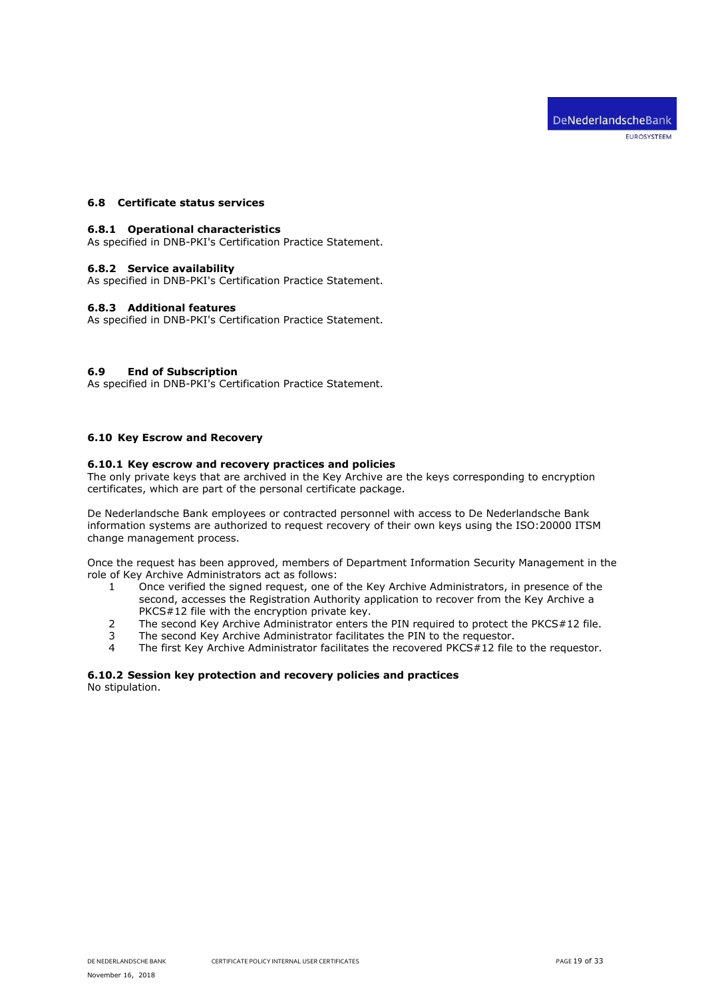# <span id="page-18-1"></span><span id="page-18-0"></span>**6.8 Certificate status services**

### **6.8.1 Operational characteristics**

<span id="page-18-2"></span>As specified in DNB-PKI's Certification Practice Statement.

### **6.8.2 Service availability**

<span id="page-18-3"></span>As specified in DNB-PKI's Certification Practice Statement.

## **6.8.3 Additional features**

As specified in DNB-PKI's Certification Practice Statement.

# <span id="page-18-4"></span>**6.9 End of Subscription**

As specified in DNB-PKI's Certification Practice Statement.

# <span id="page-18-6"></span><span id="page-18-5"></span>**6.10 Key Escrow and Recovery**

# **6.10.1 Key escrow and recovery practices and policies**

The only private keys that are archived in the Key Archive are the keys corresponding to encryption certificates, which are part of the personal certificate package.

De Nederlandsche Bank employees or contracted personnel with access to De Nederlandsche Bank information systems are authorized to request recovery of their own keys using the ISO:20000 ITSM change management process.

Once the request has been approved, members of Department Information Security Management in the role of Key Archive Administrators act as follows:

- 1 Once verified the signed request, one of the Key Archive Administrators, in presence of the second, accesses the Registration Authority application to recover from the Key Archive a PKCS#12 file with the encryption private key.
- 2 The second Key Archive Administrator enters the PIN required to protect the PKCS#12 file.
- 3 The second Key Archive Administrator facilitates the PIN to the requestor.
- 4 The first Key Archive Administrator facilitates the recovered PKCS#12 file to the requestor.

# <span id="page-18-7"></span>**6.10.2 Session key protection and recovery policies and practices**

No stipulation.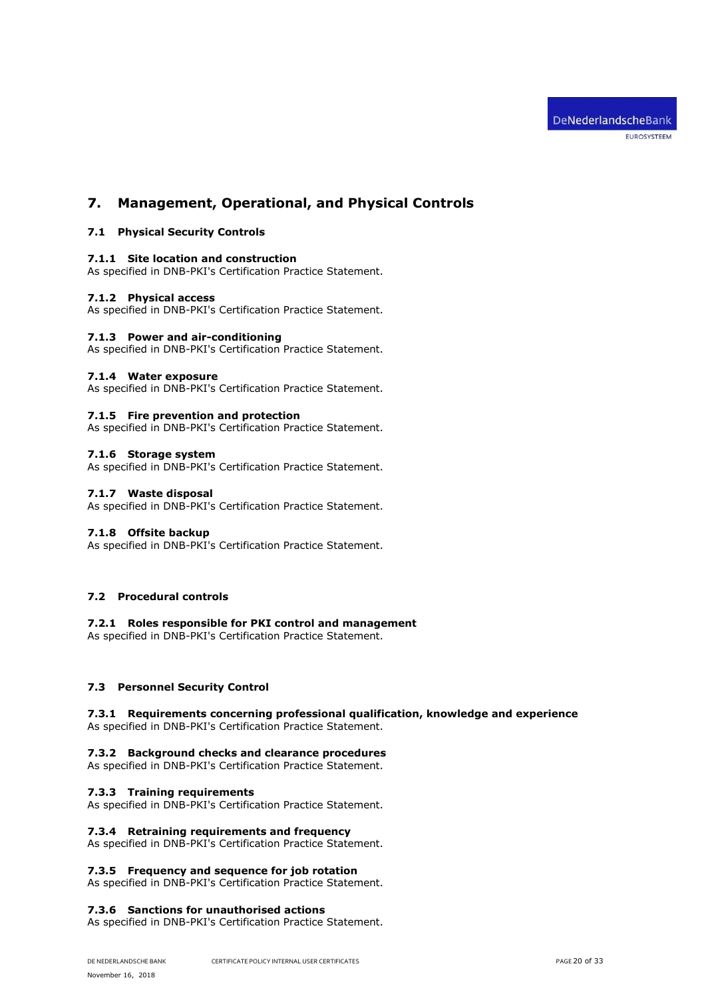# <span id="page-19-1"></span><span id="page-19-0"></span>**7. Management, Operational, and Physical Controls**

# <span id="page-19-2"></span>**7.1 Physical Security Controls**

### **7.1.1 Site location and construction**

<span id="page-19-3"></span>As specified in DNB-PKI's Certification Practice Statement.

### **7.1.2 Physical access**

<span id="page-19-4"></span>As specified in DNB-PKI's Certification Practice Statement.

# **7.1.3 Power and air-conditioning**

<span id="page-19-5"></span>As specified in DNB-PKI's Certification Practice Statement.

### **7.1.4 Water exposure**

<span id="page-19-6"></span>As specified in DNB-PKI's Certification Practice Statement.

# **7.1.5 Fire prevention and protection**

<span id="page-19-7"></span>As specified in DNB-PKI's Certification Practice Statement.

# **7.1.6 Storage system**

<span id="page-19-8"></span>As specified in DNB-PKI's Certification Practice Statement.

## **7.1.7 Waste disposal**

<span id="page-19-9"></span>As specified in DNB-PKI's Certification Practice Statement.

### **7.1.8 Offsite backup**

As specified in DNB-PKI's Certification Practice Statement.

# <span id="page-19-11"></span><span id="page-19-10"></span>**7.2 Procedural controls**

# **7.2.1 Roles responsible for PKI control and management**

As specified in DNB-PKI's Certification Practice Statement.

### <span id="page-19-13"></span><span id="page-19-12"></span>**7.3 Personnel Security Control**

# **7.3.1 Requirements concerning professional qualification, knowledge and experience** As specified in DNB-PKI's Certification Practice Statement.

### <span id="page-19-14"></span>**7.3.2 Background checks and clearance procedures**

<span id="page-19-15"></span>As specified in DNB-PKI's Certification Practice Statement.

### **7.3.3 Training requirements**

<span id="page-19-16"></span>As specified in DNB-PKI's Certification Practice Statement.

### **7.3.4 Retraining requirements and frequency**

<span id="page-19-17"></span>As specified in DNB-PKI's Certification Practice Statement.

### **7.3.5 Frequency and sequence for job rotation**

<span id="page-19-18"></span>As specified in DNB-PKI's Certification Practice Statement.

# **7.3.6 Sanctions for unauthorised actions**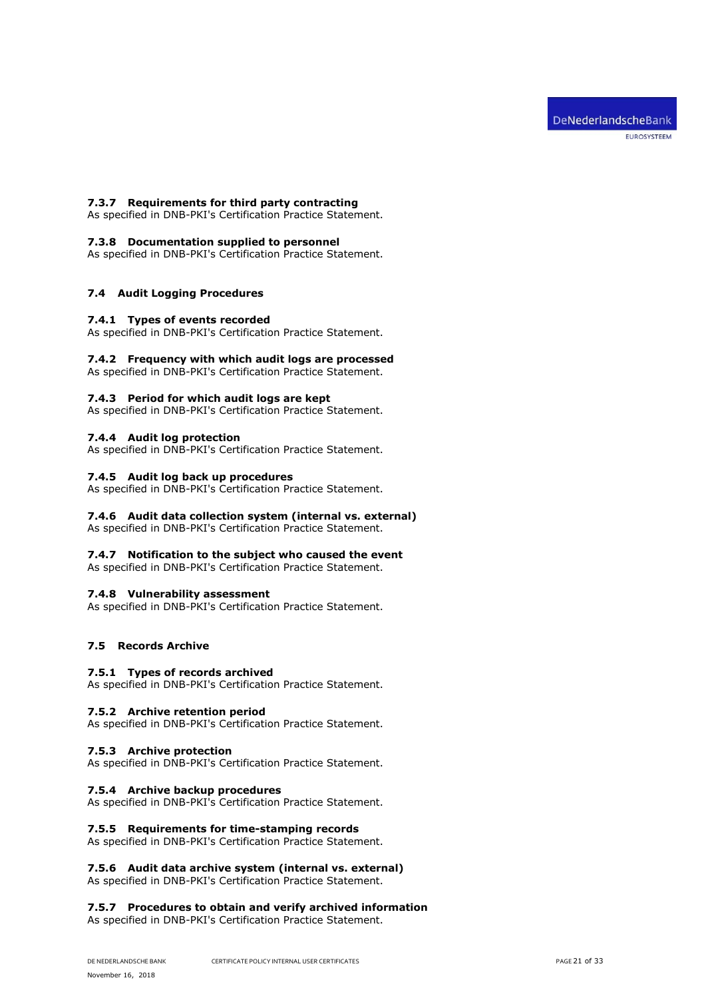## <span id="page-20-0"></span>**7.3.7 Requirements for third party contracting**

<span id="page-20-1"></span>As specified in DNB-PKI's Certification Practice Statement.

### **7.3.8 Documentation supplied to personnel**

As specified in DNB-PKI's Certification Practice Statement.

# <span id="page-20-3"></span><span id="page-20-2"></span>**7.4 Audit Logging Procedures**

### **7.4.1 Types of events recorded**

<span id="page-20-4"></span>As specified in DNB-PKI's Certification Practice Statement.

# **7.4.2 Frequency with which audit logs are processed**

<span id="page-20-5"></span>As specified in DNB-PKI's Certification Practice Statement.

### **7.4.3 Period for which audit logs are kept**

<span id="page-20-6"></span>As specified in DNB-PKI's Certification Practice Statement.

### **7.4.4 Audit log protection**

<span id="page-20-7"></span>As specified in DNB-PKI's Certification Practice Statement.

# **7.4.5 Audit log back up procedures**

<span id="page-20-8"></span>As specified in DNB-PKI's Certification Practice Statement.

# **7.4.6 Audit data collection system (internal vs. external)**

<span id="page-20-9"></span>As specified in DNB-PKI's Certification Practice Statement.

### **7.4.7 Notification to the subject who caused the event**

<span id="page-20-10"></span>As specified in DNB-PKI's Certification Practice Statement.

### **7.4.8 Vulnerability assessment**

As specified in DNB-PKI's Certification Practice Statement.

# <span id="page-20-12"></span><span id="page-20-11"></span>**7.5 Records Archive**

### **7.5.1 Types of records archived**

<span id="page-20-13"></span>As specified in DNB-PKI's Certification Practice Statement.

### **7.5.2 Archive retention period**

<span id="page-20-14"></span>As specified in DNB-PKI's Certification Practice Statement.

### **7.5.3 Archive protection**

<span id="page-20-15"></span>As specified in DNB-PKI's Certification Practice Statement.

### **7.5.4 Archive backup procedures**

<span id="page-20-16"></span>As specified in DNB-PKI's Certification Practice Statement.

### **7.5.5 Requirements for time-stamping records**

<span id="page-20-17"></span>As specified in DNB-PKI's Certification Practice Statement.

### **7.5.6 Audit data archive system (internal vs. external)**

<span id="page-20-18"></span>As specified in DNB-PKI's Certification Practice Statement.

### **7.5.7 Procedures to obtain and verify archived information**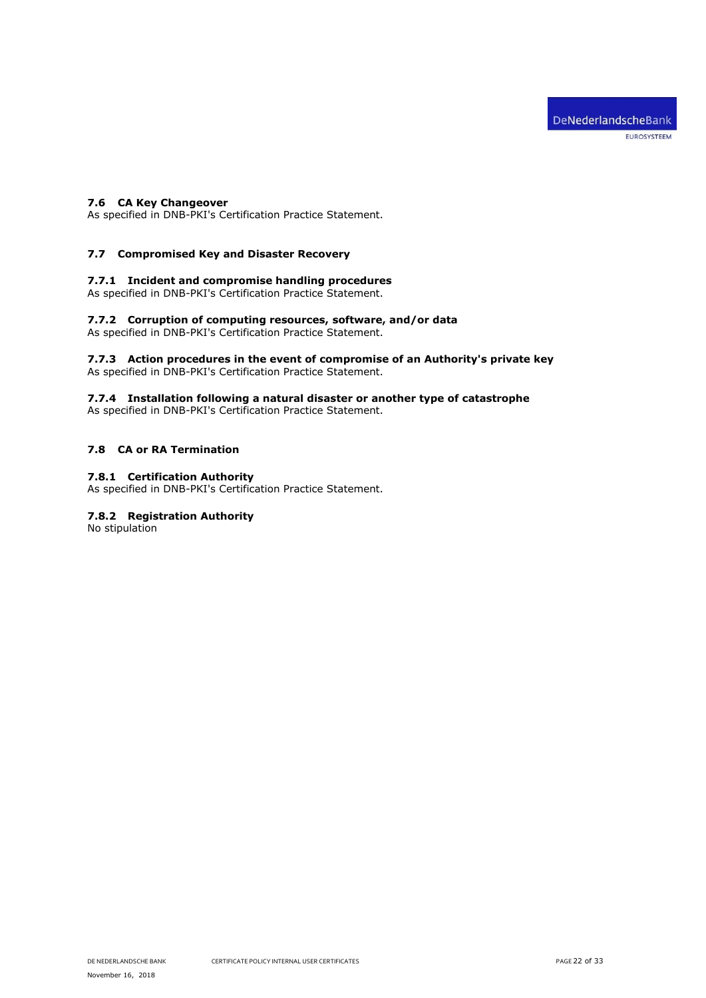## <span id="page-21-0"></span>**7.6 CA Key Changeover**

As specified in DNB-PKI's Certification Practice Statement.

# <span id="page-21-1"></span>**7.7 Compromised Key and Disaster Recovery**

# <span id="page-21-2"></span>**7.7.1 Incident and compromise handling procedures**

<span id="page-21-3"></span>As specified in DNB-PKI's Certification Practice Statement.

# **7.7.2 Corruption of computing resources, software, and/or data**

<span id="page-21-4"></span>As specified in DNB-PKI's Certification Practice Statement.

#### **7.7.3 Action procedures in the event of compromise of an Authority's private key** As specified in DNB-PKI's Certification Practice Statement.

<span id="page-21-5"></span>

# **7.7.4 Installation following a natural disaster or another type of catastrophe**

As specified in DNB-PKI's Certification Practice Statement.

# <span id="page-21-7"></span><span id="page-21-6"></span>**7.8 CA or RA Termination**

# **7.8.1 Certification Authority**

<span id="page-21-8"></span>As specified in DNB-PKI's Certification Practice Statement.

# **7.8.2 Registration Authority**

No stipulation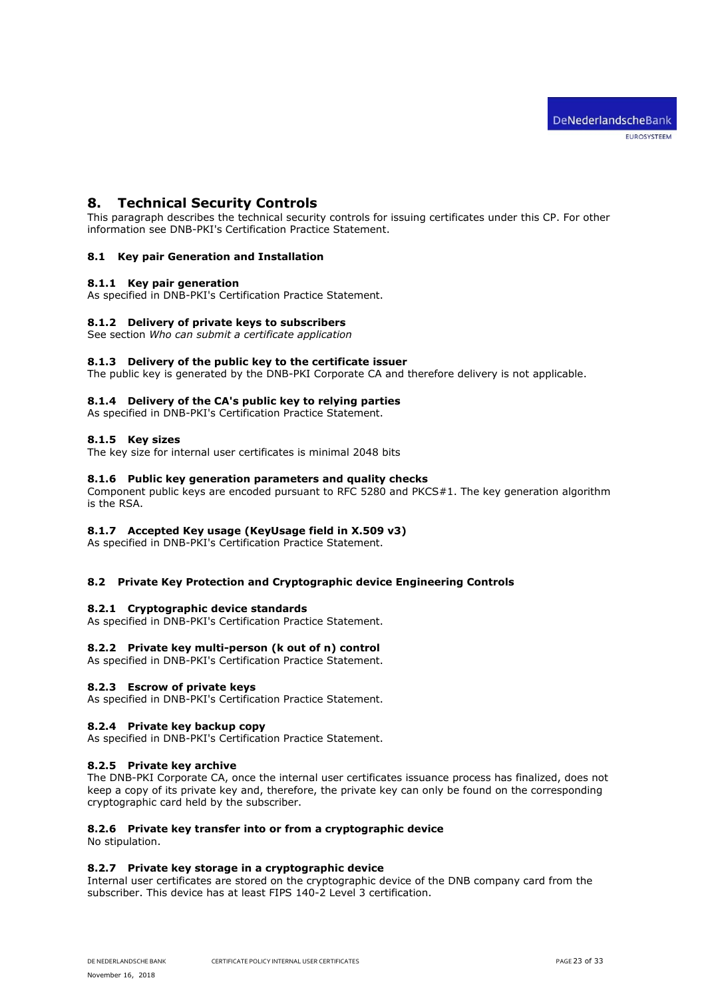# <span id="page-22-0"></span>**8. Technical Security Controls**

This paragraph describes the technical security controls for issuing certificates under this CP. For other information see DNB-PKI's Certification Practice Statement.

# <span id="page-22-2"></span><span id="page-22-1"></span>**8.1 Key pair Generation and Installation**

### **8.1.1 Key pair generation**

<span id="page-22-3"></span>As specified in DNB-PKI's Certification Practice Statement.

# **8.1.2 Delivery of private keys to subscribers**

<span id="page-22-4"></span>See section *Who can submit a certificate application*

### **8.1.3 Delivery of the public key to the certificate issuer**

<span id="page-22-5"></span>The public key is generated by the DNB-PKI Corporate CA and therefore delivery is not applicable.

### **8.1.4 Delivery of the CA's public key to relying parties**

<span id="page-22-6"></span>As specified in DNB-PKI's Certification Practice Statement.

### **8.1.5 Key sizes**

<span id="page-22-7"></span>The key size for internal user certificates is minimal 2048 bits

### **8.1.6 Public key generation parameters and quality checks**

Component public keys are encoded pursuant to RFC 5280 and PKCS#1. The key generation algorithm is the RSA.

# <span id="page-22-8"></span>**8.1.7 Accepted Key usage (KeyUsage field in X.509 v3)**

As specified in DNB-PKI's Certification Practice Statement.

### <span id="page-22-10"></span><span id="page-22-9"></span>**8.2 Private Key Protection and Cryptographic device Engineering Controls**

### **8.2.1 Cryptographic device standards**

<span id="page-22-11"></span>As specified in DNB-PKI's Certification Practice Statement.

### **8.2.2 Private key multi-person (k out of n) control**

<span id="page-22-12"></span>As specified in DNB-PKI's Certification Practice Statement.

### **8.2.3 Escrow of private keys**

<span id="page-22-13"></span>As specified in DNB-PKI's Certification Practice Statement.

### **8.2.4 Private key backup copy**

<span id="page-22-14"></span>As specified in DNB-PKI's Certification Practice Statement.

### **8.2.5 Private key archive**

The DNB-PKI Corporate CA, once the internal user certificates issuance process has finalized, does not keep a copy of its private key and, therefore, the private key can only be found on the corresponding cryptographic card held by the subscriber.

### <span id="page-22-15"></span>**8.2.6 Private key transfer into or from a cryptographic device**

<span id="page-22-16"></span>No stipulation.

### **8.2.7 Private key storage in a cryptographic device**

Internal user certificates are stored on the cryptographic device of the DNB company card from the subscriber. This device has at least FIPS 140-2 Level 3 certification.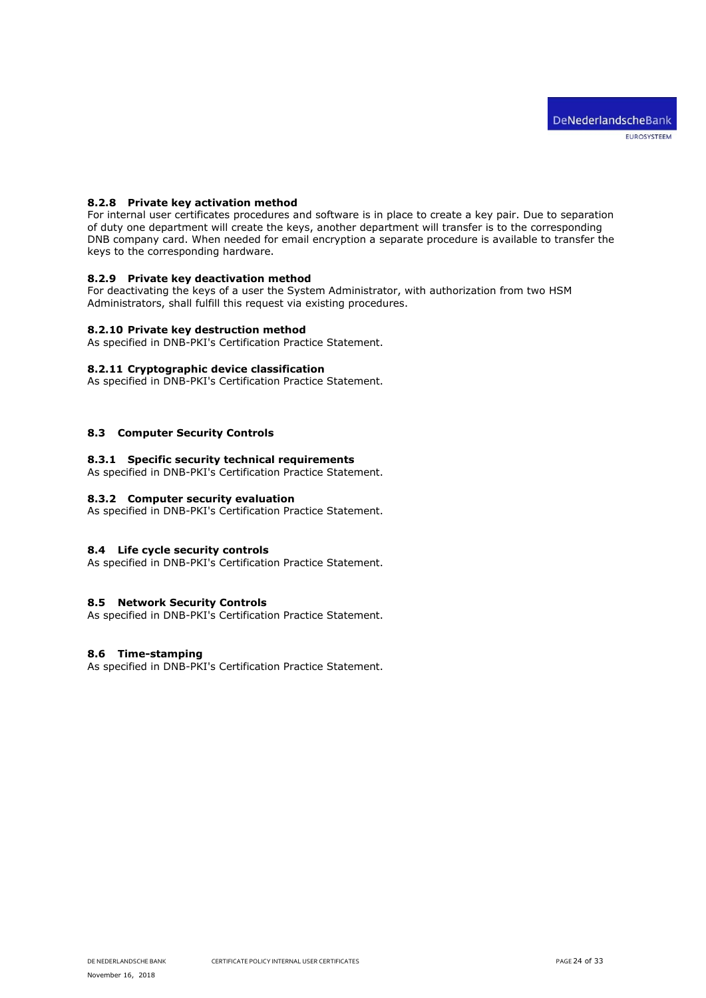# <span id="page-23-0"></span>**8.2.8 Private key activation method**

For internal user certificates procedures and software is in place to create a key pair. Due to separation of duty one department will create the keys, another department will transfer is to the corresponding DNB company card. When needed for email encryption a separate procedure is available to transfer the keys to the corresponding hardware.

# <span id="page-23-1"></span>**8.2.9 Private key deactivation method**

For deactivating the keys of a user the System Administrator, with authorization from two HSM Administrators, shall fulfill this request via existing procedures.

### <span id="page-23-2"></span>**8.2.10 Private key destruction method**

<span id="page-23-3"></span>As specified in DNB-PKI's Certification Practice Statement.

### **8.2.11 Cryptographic device classification**

As specified in DNB-PKI's Certification Practice Statement.

### <span id="page-23-5"></span><span id="page-23-4"></span>**8.3 Computer Security Controls**

# **8.3.1 Specific security technical requirements**

<span id="page-23-6"></span>As specified in DNB-PKI's Certification Practice Statement.

# **8.3.2 Computer security evaluation**

As specified in DNB-PKI's Certification Practice Statement.

# <span id="page-23-7"></span>**8.4 Life cycle security controls**

As specified in DNB-PKI's Certification Practice Statement.

## <span id="page-23-8"></span>**8.5 Network Security Controls**

As specified in DNB-PKI's Certification Practice Statement.

# <span id="page-23-9"></span>**8.6 Time-stamping**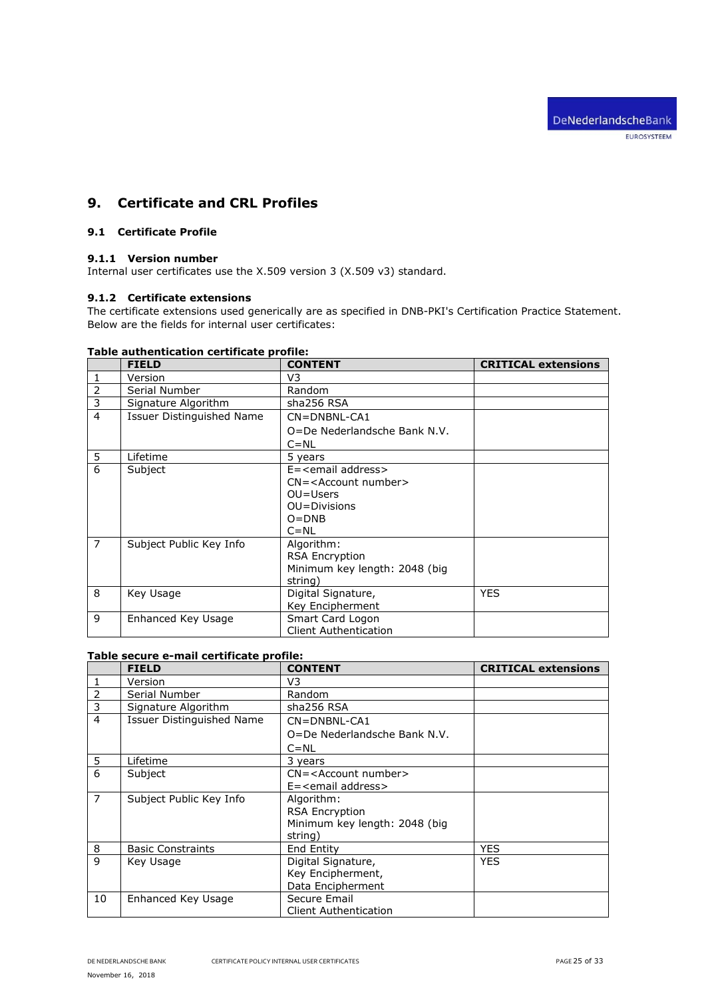# <span id="page-24-0"></span>**9. Certificate and CRL Profiles**

# <span id="page-24-2"></span><span id="page-24-1"></span>**9.1 Certificate Profile**

# **9.1.1 Version number**

<span id="page-24-3"></span>Internal user certificates use the X.509 version 3 (X.509 v3) standard.

# **9.1.2 Certificate extensions**

The certificate extensions used generically are as specified in DNB-PKI's Certification Practice Statement. Below are the fields for internal user certificates:

|                | <b>FIELD</b>              | <b>CONTENT</b>                   | <b>CRITICAL extensions</b> |
|----------------|---------------------------|----------------------------------|----------------------------|
|                | Version                   | V <sub>3</sub>                   |                            |
| 2              | Serial Number             | Random                           |                            |
| 3              | Signature Algorithm       | sha256 RSA                       |                            |
| 4              | Issuer Distinguished Name | CN=DNBNL-CA1                     |                            |
|                |                           | O=De Nederlandsche Bank N.V.     |                            |
|                |                           | $C = NL$                         |                            |
| 5              | Lifetime                  | 5 years                          |                            |
| 6              | Subject                   | $E =$ <email address=""></email> |                            |
|                |                           | $CN = <$ Account number $>$      |                            |
|                |                           | $OU=Users$                       |                            |
|                |                           | OU=Divisions                     |                            |
|                |                           | $O = DNB$                        |                            |
|                |                           | $C = NL$                         |                            |
| $\overline{7}$ | Subject Public Key Info   | Algorithm:                       |                            |
|                |                           | <b>RSA Encryption</b>            |                            |
|                |                           | Minimum key length: 2048 (big    |                            |
|                |                           | string)                          |                            |
| 8              | Key Usage                 | Digital Signature,               | <b>YES</b>                 |
|                |                           | Key Encipherment                 |                            |
| 9              | Enhanced Key Usage        | Smart Card Logon                 |                            |
|                |                           | <b>Client Authentication</b>     |                            |

# **Table authentication certificate profile:**

# **Table secure e-mail certificate profile:**

|                | <b>FIELD</b>                     | <b>CONTENT</b>                | <b>CRITICAL extensions</b> |
|----------------|----------------------------------|-------------------------------|----------------------------|
|                | Version                          | V3                            |                            |
| 2              | Serial Number                    | Random                        |                            |
| 3              | Signature Algorithm              | sha256 RSA                    |                            |
| $\overline{4}$ | <b>Issuer Distinguished Name</b> | $CN = DNBNL-CA1$              |                            |
|                |                                  | O=De Nederlandsche Bank N.V.  |                            |
|                |                                  | $C = NL$                      |                            |
| 5              | Lifetime                         | 3 vears                       |                            |
| 6              | Subject                          | $CN = <$ Account number $>$   |                            |
|                |                                  | E= <email address=""></email> |                            |
| $\overline{7}$ | Subject Public Key Info          | Algorithm:                    |                            |
|                |                                  | <b>RSA Encryption</b>         |                            |
|                |                                  | Minimum key length: 2048 (big |                            |
|                |                                  | string)                       |                            |
| 8              | <b>Basic Constraints</b>         | End Entity                    | <b>YES</b>                 |
| $\mathbf{q}$   | Key Usage                        | Digital Signature,            | <b>YES</b>                 |
|                |                                  | Key Encipherment,             |                            |
|                |                                  | Data Encipherment             |                            |
| 10             | Enhanced Key Usage               | Secure Email                  |                            |
|                |                                  | <b>Client Authentication</b>  |                            |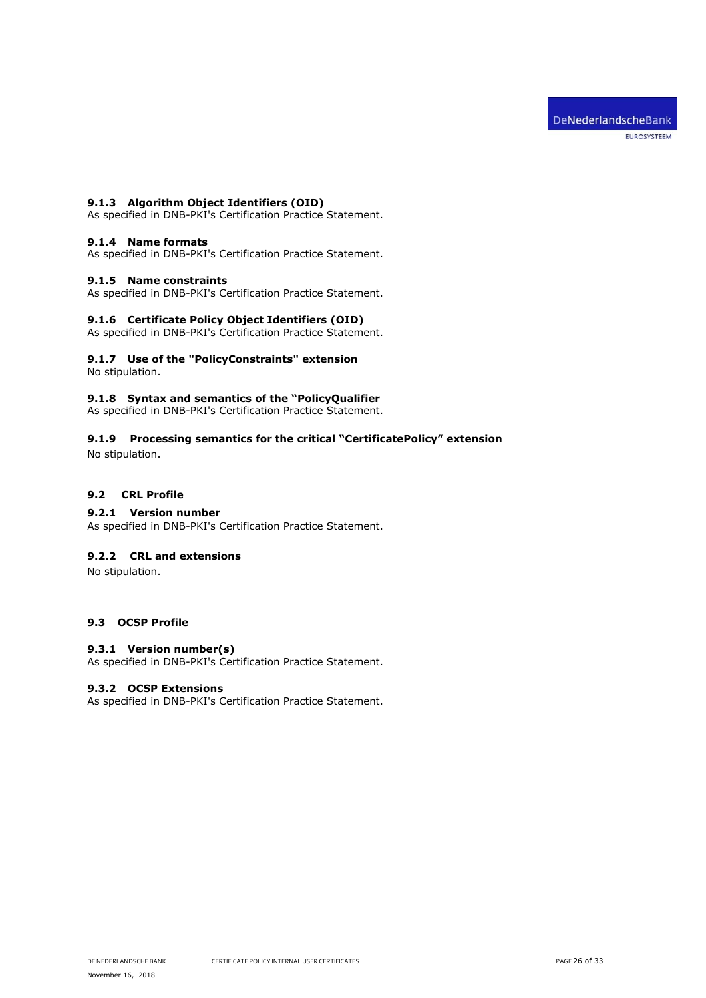# <span id="page-25-0"></span>**9.1.3 Algorithm Object Identifiers (OID)**

As specified in DNB-PKI's Certification Practice Statement.

# <span id="page-25-1"></span>**9.1.4 Name formats**

<span id="page-25-2"></span>As specified in DNB-PKI's Certification Practice Statement.

# **9.1.5 Name constraints**

<span id="page-25-3"></span>As specified in DNB-PKI's Certification Practice Statement.

### **9.1.6 Certificate Policy Object Identifiers (OID)**

As specified in DNB-PKI's Certification Practice Statement.

#### <span id="page-25-4"></span>**9.1.7 Use of the "PolicyConstraints" extension** No stipulation.

<span id="page-25-5"></span>

# **9.1.8 Syntax and semantics of the "PolicyQualifier**

As specified in DNB-PKI's Certification Practice Statement.

# <span id="page-25-6"></span>**9.1.9 Processing semantics for the critical "CertificatePolicy" extension**

No stipulation.

# <span id="page-25-7"></span>**9.2 CRL Profile**

# <span id="page-25-8"></span>**9.2.1 Version number**

As specified in DNB-PKI's Certification Practice Statement.

# <span id="page-25-9"></span>**9.2.2 CRL and extensions**

No stipulation.

# <span id="page-25-11"></span><span id="page-25-10"></span>**9.3 OCSP Profile**

### **9.3.1 Version number(s)**

<span id="page-25-12"></span>As specified in DNB-PKI's Certification Practice Statement.

### **9.3.2 OCSP Extensions**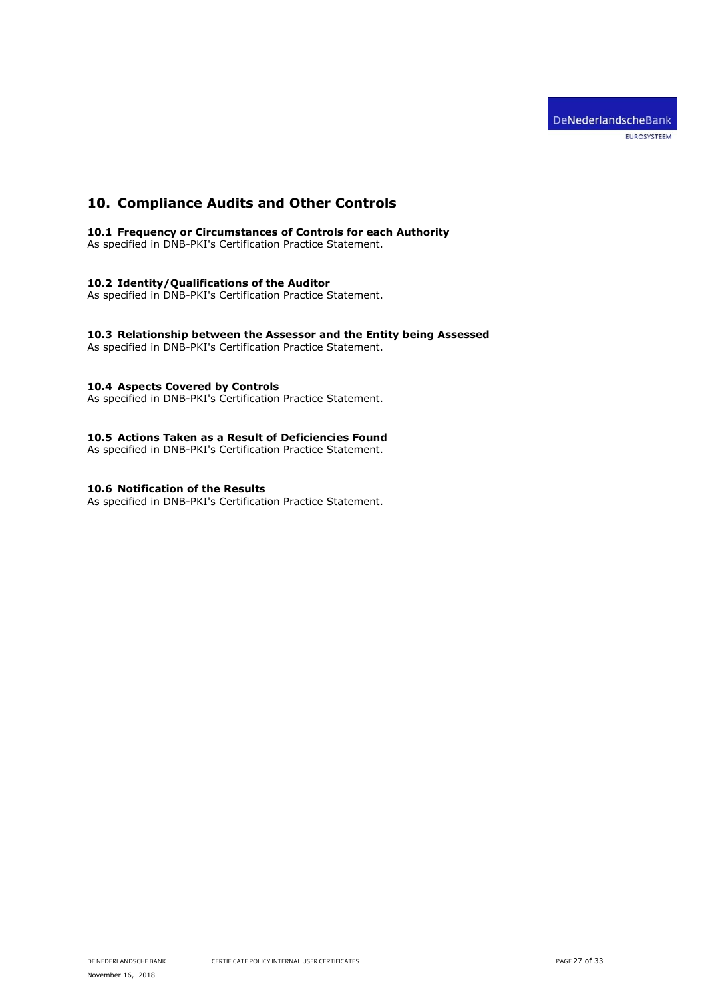# <span id="page-26-0"></span>**10. Compliance Audits and Other Controls**

<span id="page-26-1"></span>**10.1 Frequency or Circumstances of Controls for each Authority**

As specified in DNB-PKI's Certification Practice Statement.

# <span id="page-26-2"></span>**10.2 Identity/Qualifications of the Auditor**

As specified in DNB-PKI's Certification Practice Statement.

# <span id="page-26-3"></span>**10.3 Relationship between the Assessor and the Entity being Assessed**

As specified in DNB-PKI's Certification Practice Statement.

# <span id="page-26-4"></span>**10.4 Aspects Covered by Controls**

As specified in DNB-PKI's Certification Practice Statement.

# <span id="page-26-5"></span>**10.5 Actions Taken as a Result of Deficiencies Found**

As specified in DNB-PKI's Certification Practice Statement.

# <span id="page-26-6"></span>**10.6 Notification of the Results**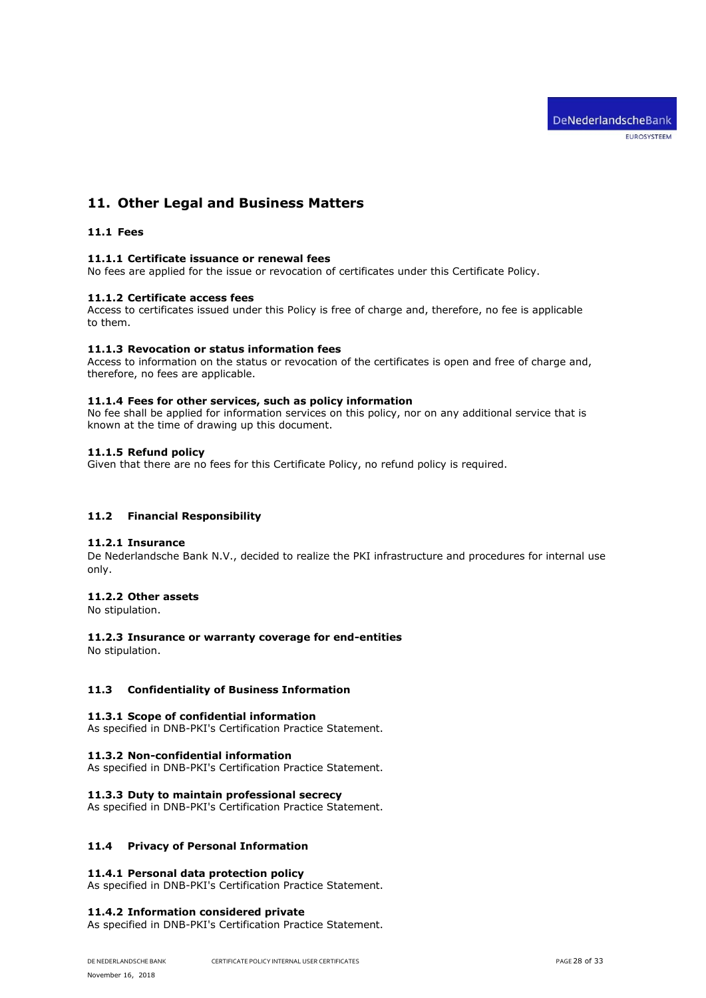# <span id="page-27-1"></span><span id="page-27-0"></span>**11. Other Legal and Business Matters**

# <span id="page-27-2"></span>**11.1 Fees**

### **11.1.1 Certificate issuance or renewal fees**

<span id="page-27-3"></span>No fees are applied for the issue or revocation of certificates under this Certificate Policy.

### **11.1.2 Certificate access fees**

Access to certificates issued under this Policy is free of charge and, therefore, no fee is applicable to them.

# <span id="page-27-4"></span>**11.1.3 Revocation or status information fees**

Access to information on the status or revocation of the certificates is open and free of charge and, therefore, no fees are applicable.

### <span id="page-27-5"></span>**11.1.4 Fees for other services, such as policy information**

No fee shall be applied for information services on this policy, nor on any additional service that is known at the time of drawing up this document.

# <span id="page-27-6"></span>**11.1.5 Refund policy**

Given that there are no fees for this Certificate Policy, no refund policy is required.

# <span id="page-27-8"></span><span id="page-27-7"></span>**11.2 Financial Responsibility**

## **11.2.1 Insurance**

De Nederlandsche Bank N.V., decided to realize the PKI infrastructure and procedures for internal use only.

# <span id="page-27-9"></span>**11.2.2 Other assets**

<span id="page-27-10"></span>No stipulation.

# **11.2.3 Insurance or warranty coverage for end-entities**

No stipulation.

# <span id="page-27-12"></span><span id="page-27-11"></span>**11.3 Confidentiality of Business Information**

### **11.3.1 Scope of confidential information**

<span id="page-27-13"></span>As specified in DNB-PKI's Certification Practice Statement.

### **11.3.2 Non-confidential information**

<span id="page-27-14"></span>As specified in DNB-PKI's Certification Practice Statement.

### **11.3.3 Duty to maintain professional secrecy**

As specified in DNB-PKI's Certification Practice Statement.

# <span id="page-27-16"></span><span id="page-27-15"></span>**11.4 Privacy of Personal Information**

# **11.4.1 Personal data protection policy**

<span id="page-27-17"></span>As specified in DNB-PKI's Certification Practice Statement.

### **11.4.2 Information considered private**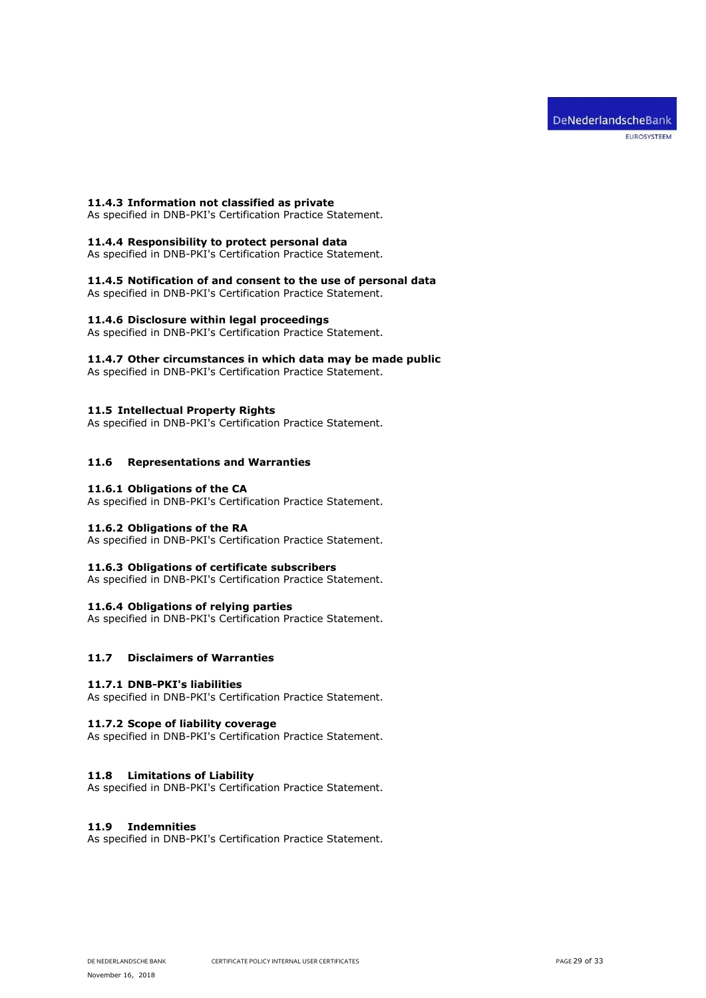### <span id="page-28-0"></span>**11.4.3 Information not classified as private**

<span id="page-28-1"></span>As specified in DNB-PKI's Certification Practice Statement.

## **11.4.4 Responsibility to protect personal data**

<span id="page-28-2"></span>As specified in DNB-PKI's Certification Practice Statement.

# **11.4.5 Notification of and consent to the use of personal data**

<span id="page-28-3"></span>As specified in DNB-PKI's Certification Practice Statement.

### **11.4.6 Disclosure within legal proceedings**

<span id="page-28-4"></span>As specified in DNB-PKI's Certification Practice Statement.

# **11.4.7 Other circumstances in which data may be made public**

As specified in DNB-PKI's Certification Practice Statement.

### <span id="page-28-5"></span>**11.5 Intellectual Property Rights**

As specified in DNB-PKI's Certification Practice Statement.

# <span id="page-28-7"></span><span id="page-28-6"></span>**11.6 Representations and Warranties**

## **11.6.1 Obligations of the CA**

<span id="page-28-8"></span>As specified in DNB-PKI's Certification Practice Statement.

### **11.6.2 Obligations of the RA**

<span id="page-28-9"></span>As specified in DNB-PKI's Certification Practice Statement.

### **11.6.3 Obligations of certificate subscribers**

<span id="page-28-10"></span>As specified in DNB-PKI's Certification Practice Statement.

### **11.6.4 Obligations of relying parties**

As specified in DNB-PKI's Certification Practice Statement.

# <span id="page-28-12"></span><span id="page-28-11"></span>**11.7 Disclaimers of Warranties**

### **11.7.1 DNB-PKI's liabilities**

<span id="page-28-13"></span>As specified in DNB-PKI's Certification Practice Statement.

## **11.7.2 Scope of liability coverage**

As specified in DNB-PKI's Certification Practice Statement.

### <span id="page-28-14"></span>**11.8 Limitations of Liability**

As specified in DNB-PKI's Certification Practice Statement.

# <span id="page-28-15"></span>**11.9 Indemnities**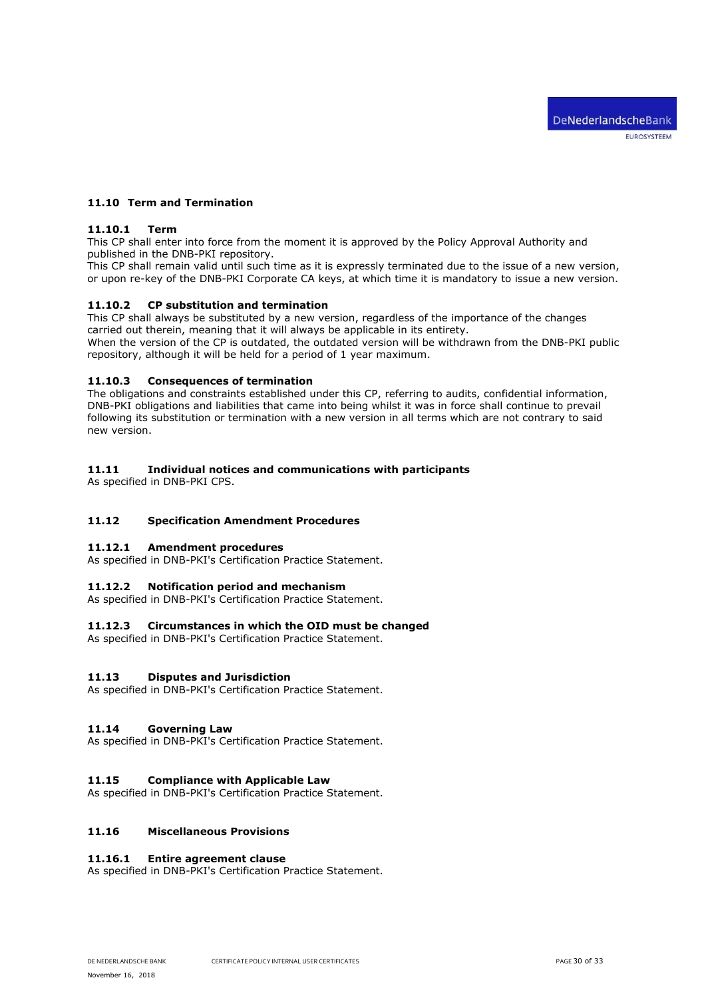# <span id="page-29-1"></span><span id="page-29-0"></span>**11.10 Term and Termination**

# **11.10.1 Term**

This CP shall enter into force from the moment it is approved by the Policy Approval Authority and published in the DNB-PKI repository.

This CP shall remain valid until such time as it is expressly terminated due to the issue of a new version, or upon re-key of the DNB-PKI Corporate CA keys, at which time it is mandatory to issue a new version.

### <span id="page-29-2"></span>**11.10.2 CP substitution and termination**

This CP shall always be substituted by a new version, regardless of the importance of the changes carried out therein, meaning that it will always be applicable in its entirety.

When the version of the CP is outdated, the outdated version will be withdrawn from the DNB-PKI public repository, although it will be held for a period of 1 year maximum.

### <span id="page-29-3"></span>**11.10.3 Consequences of termination**

The obligations and constraints established under this CP, referring to audits, confidential information, DNB-PKI obligations and liabilities that came into being whilst it was in force shall continue to prevail following its substitution or termination with a new version in all terms which are not contrary to said new version.

# <span id="page-29-4"></span>**11.11 Individual notices and communications with participants**

As specified in DNB-PKI CPS.

# <span id="page-29-6"></span><span id="page-29-5"></span>**11.12 Specification Amendment Procedures**

# **11.12.1 Amendment procedures**

<span id="page-29-7"></span>As specified in DNB-PKI's Certification Practice Statement.

### **11.12.2 Notification period and mechanism**

<span id="page-29-8"></span>As specified in DNB-PKI's Certification Practice Statement.

### **11.12.3 Circumstances in which the OID must be changed**

As specified in DNB-PKI's Certification Practice Statement.

### <span id="page-29-9"></span>**11.13 Disputes and Jurisdiction**

As specified in DNB-PKI's Certification Practice Statement.

### <span id="page-29-10"></span>**11.14 Governing Law**

As specified in DNB-PKI's Certification Practice Statement.

## <span id="page-29-11"></span>**11.15 Compliance with Applicable Law**

As specified in DNB-PKI's Certification Practice Statement.

# <span id="page-29-13"></span><span id="page-29-12"></span>**11.16 Miscellaneous Provisions**

### **11.16.1 Entire agreement clause**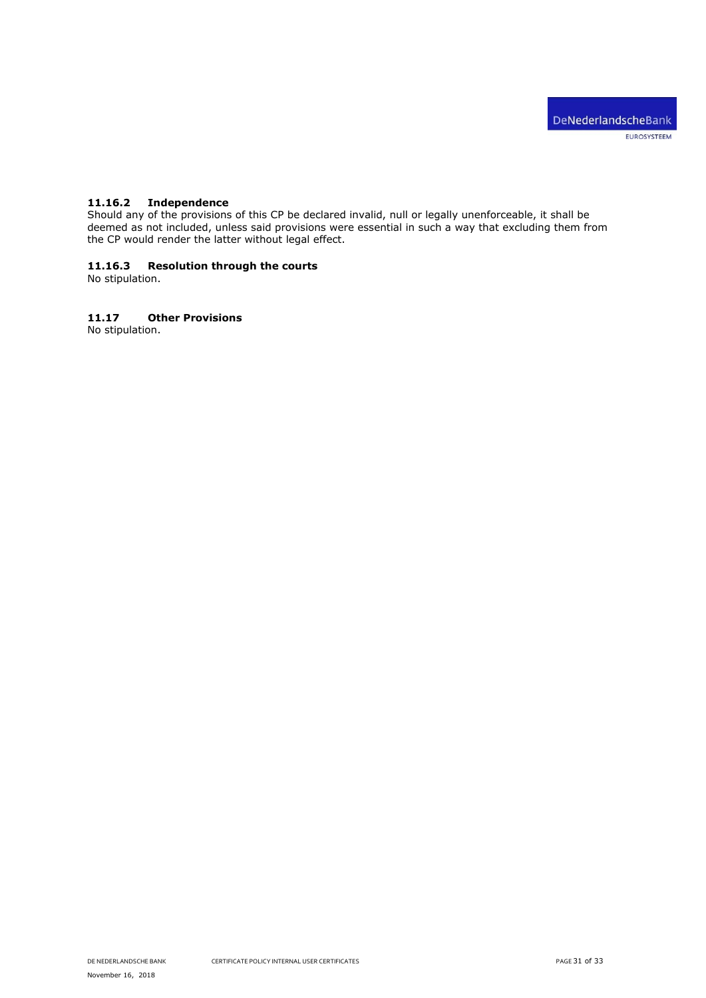# <span id="page-30-0"></span>**11.16.2 Independence**

Should any of the provisions of this CP be declared invalid, null or legally unenforceable, it shall be deemed as not included, unless said provisions were essential in such a way that excluding them from the CP would render the latter without legal effect.

# <span id="page-30-1"></span>**11.16.3 Resolution through the courts**

No stipulation.

# <span id="page-30-2"></span>**11.17 Other Provisions**

No stipulation.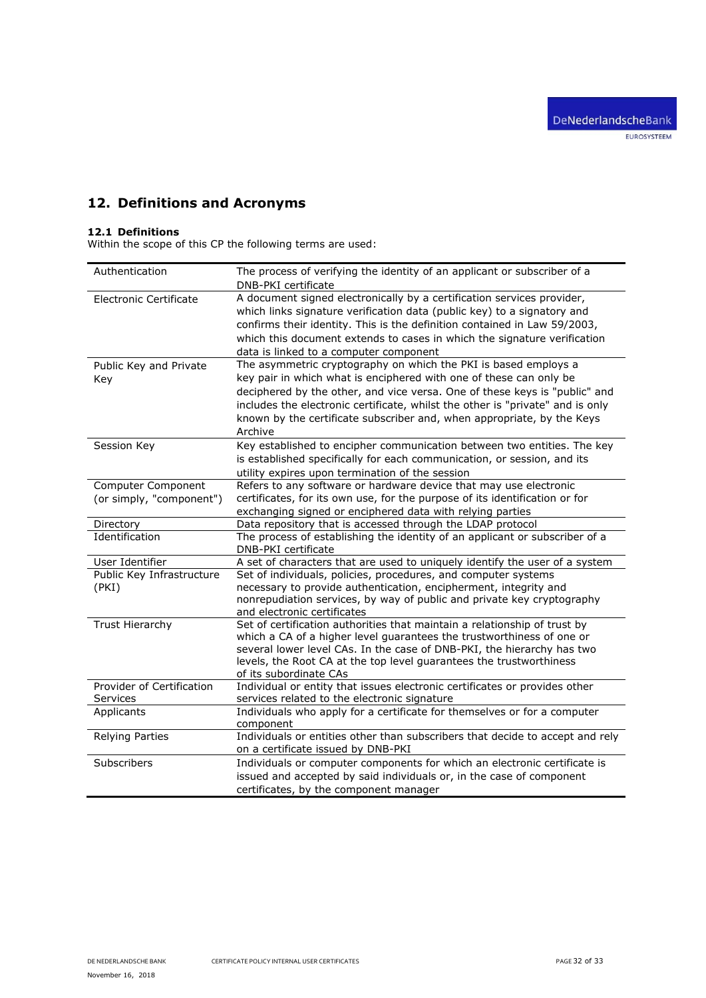# <span id="page-31-0"></span>**12. Definitions and Acronyms**

# <span id="page-31-1"></span>**12.1 Definitions**

Within the scope of this CP the following terms are used:

| Authentication                                 | The process of verifying the identity of an applicant or subscriber of a<br>DNB-PKI certificate                                                                                                                                                                                                                                                      |
|------------------------------------------------|------------------------------------------------------------------------------------------------------------------------------------------------------------------------------------------------------------------------------------------------------------------------------------------------------------------------------------------------------|
| <b>Electronic Certificate</b>                  | A document signed electronically by a certification services provider,<br>which links signature verification data (public key) to a signatory and<br>confirms their identity. This is the definition contained in Law 59/2003,<br>which this document extends to cases in which the signature verification<br>data is linked to a computer component |
| Public Key and Private                         | The asymmetric cryptography on which the PKI is based employs a                                                                                                                                                                                                                                                                                      |
| Key                                            | key pair in which what is enciphered with one of these can only be<br>deciphered by the other, and vice versa. One of these keys is "public" and<br>includes the electronic certificate, whilst the other is "private" and is only<br>known by the certificate subscriber and, when appropriate, by the Keys<br>Archive                              |
| Session Key                                    | Key established to encipher communication between two entities. The key<br>is established specifically for each communication, or session, and its<br>utility expires upon termination of the session                                                                                                                                                |
| Computer Component<br>(or simply, "component") | Refers to any software or hardware device that may use electronic<br>certificates, for its own use, for the purpose of its identification or for<br>exchanging signed or enciphered data with relying parties                                                                                                                                        |
| Directory                                      | Data repository that is accessed through the LDAP protocol                                                                                                                                                                                                                                                                                           |
| Identification                                 | The process of establishing the identity of an applicant or subscriber of a<br>DNB-PKI certificate                                                                                                                                                                                                                                                   |
| User Identifier                                | A set of characters that are used to uniquely identify the user of a system                                                                                                                                                                                                                                                                          |
| Public Key Infrastructure<br>(PKI)             | Set of individuals, policies, procedures, and computer systems<br>necessary to provide authentication, encipherment, integrity and<br>nonrepudiation services, by way of public and private key cryptography<br>and electronic certificates                                                                                                          |
| <b>Trust Hierarchy</b>                         | Set of certification authorities that maintain a relationship of trust by<br>which a CA of a higher level guarantees the trustworthiness of one or<br>several lower level CAs. In the case of DNB-PKI, the hierarchy has two<br>levels, the Root CA at the top level guarantees the trustworthiness<br>of its subordinate CAs                        |
| Provider of Certification<br>Services          | Individual or entity that issues electronic certificates or provides other<br>services related to the electronic signature                                                                                                                                                                                                                           |
| Applicants                                     | Individuals who apply for a certificate for themselves or for a computer<br>component                                                                                                                                                                                                                                                                |
| <b>Relying Parties</b>                         | Individuals or entities other than subscribers that decide to accept and rely<br>on a certificate issued by DNB-PKI                                                                                                                                                                                                                                  |
| Subscribers                                    | Individuals or computer components for which an electronic certificate is<br>issued and accepted by said individuals or, in the case of component<br>certificates, by the component manager                                                                                                                                                          |